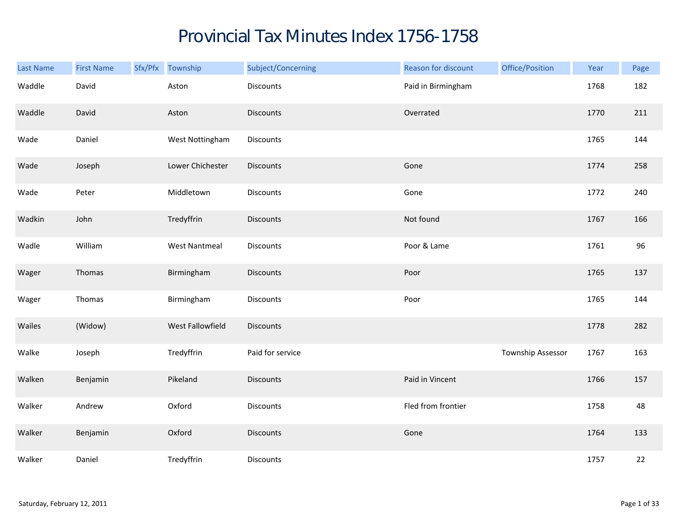## Provincial Tax Minutes Index 1756-1758

| Last Name | <b>First Name</b> | Sfx/Pfx Township     | Subject/Concerning | Reason for discount | Office/Position   | Year | Page   |
|-----------|-------------------|----------------------|--------------------|---------------------|-------------------|------|--------|
| Waddle    | David             | Aston                | <b>Discounts</b>   | Paid in Birmingham  |                   | 1768 | 182    |
| Waddle    | David             | Aston                | <b>Discounts</b>   | Overrated           |                   | 1770 | 211    |
| Wade      | Daniel            | West Nottingham      | Discounts          |                     |                   | 1765 | 144    |
| Wade      | Joseph            | Lower Chichester     | <b>Discounts</b>   | Gone                |                   | 1774 | 258    |
| Wade      | Peter             | Middletown           | Discounts          | Gone                |                   | 1772 | 240    |
| Wadkin    | John              | Tredyffrin           | <b>Discounts</b>   | Not found           |                   | 1767 | 166    |
| Wadle     | William           | <b>West Nantmeal</b> | Discounts          | Poor & Lame         |                   | 1761 | 96     |
| Wager     | Thomas            | Birmingham           | <b>Discounts</b>   | Poor                |                   | 1765 | 137    |
| Wager     | Thomas            | Birmingham           | <b>Discounts</b>   | Poor                |                   | 1765 | 144    |
| Wailes    | (Widow)           | West Fallowfield     | <b>Discounts</b>   |                     |                   | 1778 | 282    |
| Walke     | Joseph            | Tredyffrin           | Paid for service   |                     | Township Assessor | 1767 | 163    |
| Walken    | Benjamin          | Pikeland             | <b>Discounts</b>   | Paid in Vincent     |                   | 1766 | 157    |
| Walker    | Andrew            | Oxford               | Discounts          | Fled from frontier  |                   | 1758 | 48     |
| Walker    | Benjamin          | Oxford               | <b>Discounts</b>   | Gone                |                   | 1764 | 133    |
| Walker    | Daniel            | Tredyffrin           | Discounts          |                     |                   | 1757 | $22\,$ |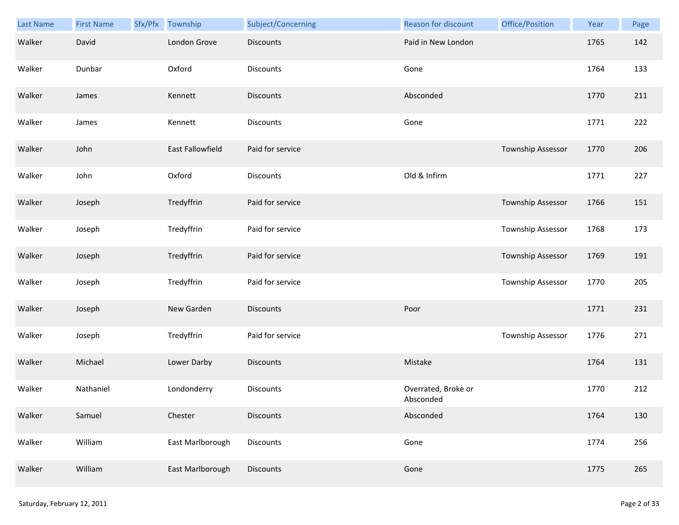| <b>Last Name</b> | <b>First Name</b> | Sfx/Pfx | Township         | Subject/Concerning | Reason for discount              | Office/Position   | Year | Page |
|------------------|-------------------|---------|------------------|--------------------|----------------------------------|-------------------|------|------|
| Walker           | David             |         | London Grove     | <b>Discounts</b>   | Paid in New London               |                   | 1765 | 142  |
| Walker           | Dunbar            |         | Oxford           | Discounts          | Gone                             |                   | 1764 | 133  |
| Walker           | James             |         | Kennett          | <b>Discounts</b>   | Absconded                        |                   | 1770 | 211  |
| Walker           | James             |         | Kennett          | Discounts          | Gone                             |                   | 1771 | 222  |
| Walker           | John              |         | East Fallowfield | Paid for service   |                                  | Township Assessor | 1770 | 206  |
| Walker           | John              |         | Oxford           | Discounts          | Old & Infirm                     |                   | 1771 | 227  |
| Walker           | Joseph            |         | Tredyffrin       | Paid for service   |                                  | Township Assessor | 1766 | 151  |
| Walker           | Joseph            |         | Tredyffrin       | Paid for service   |                                  | Township Assessor | 1768 | 173  |
| Walker           | Joseph            |         | Tredyffrin       | Paid for service   |                                  | Township Assessor | 1769 | 191  |
| Walker           | Joseph            |         | Tredyffrin       | Paid for service   |                                  | Township Assessor | 1770 | 205  |
| Walker           | Joseph            |         | New Garden       | <b>Discounts</b>   | Poor                             |                   | 1771 | 231  |
| Walker           | Joseph            |         | Tredyffrin       | Paid for service   |                                  | Township Assessor | 1776 | 271  |
| Walker           | Michael           |         | Lower Darby      | <b>Discounts</b>   | Mistake                          |                   | 1764 | 131  |
| Walker           | Nathaniel         |         | Londonderry      | Discounts          | Overrated, Broke or<br>Absconded |                   | 1770 | 212  |
| Walker           | Samuel            |         | Chester          | <b>Discounts</b>   | Absconded                        |                   | 1764 | 130  |
| Walker           | William           |         | East Marlborough | Discounts          | Gone                             |                   | 1774 | 256  |
| Walker           | William           |         | East Marlborough | Discounts          | Gone                             |                   | 1775 | 265  |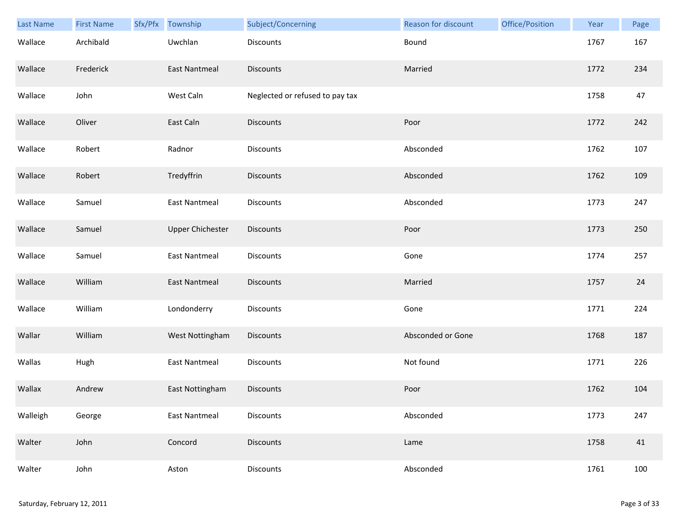| Last Name | <b>First Name</b> | Sfx/Pfx | Township                | Subject/Concerning              | Reason for discount | Office/Position | Year | Page |
|-----------|-------------------|---------|-------------------------|---------------------------------|---------------------|-----------------|------|------|
| Wallace   | Archibald         |         | Uwchlan                 | Discounts                       | Bound               |                 | 1767 | 167  |
| Wallace   | Frederick         |         | <b>East Nantmeal</b>    | <b>Discounts</b>                | Married             |                 | 1772 | 234  |
| Wallace   | John              |         | West Caln               | Neglected or refused to pay tax |                     |                 | 1758 | 47   |
| Wallace   | Oliver            |         | East Caln               | <b>Discounts</b>                | Poor                |                 | 1772 | 242  |
| Wallace   | Robert            |         | Radnor                  | Discounts                       | Absconded           |                 | 1762 | 107  |
| Wallace   | Robert            |         | Tredyffrin              | <b>Discounts</b>                | Absconded           |                 | 1762 | 109  |
| Wallace   | Samuel            |         | <b>East Nantmeal</b>    | <b>Discounts</b>                | Absconded           |                 | 1773 | 247  |
| Wallace   | Samuel            |         | <b>Upper Chichester</b> | Discounts                       | Poor                |                 | 1773 | 250  |
| Wallace   | Samuel            |         | <b>East Nantmeal</b>    | <b>Discounts</b>                | Gone                |                 | 1774 | 257  |
| Wallace   | William           |         | <b>East Nantmeal</b>    | <b>Discounts</b>                | Married             |                 | 1757 | 24   |
| Wallace   | William           |         | Londonderry             | Discounts                       | Gone                |                 | 1771 | 224  |
| Wallar    | William           |         | West Nottingham         | <b>Discounts</b>                | Absconded or Gone   |                 | 1768 | 187  |
| Wallas    | Hugh              |         | East Nantmeal           | Discounts                       | Not found           |                 | 1771 | 226  |
| Wallax    | Andrew            |         | East Nottingham         | <b>Discounts</b>                | Poor                |                 | 1762 | 104  |
| Walleigh  | George            |         | <b>East Nantmeal</b>    | Discounts                       | Absconded           |                 | 1773 | 247  |
| Walter    | John              |         | Concord                 | <b>Discounts</b>                | Lame                |                 | 1758 | 41   |
| Walter    | John              |         | Aston                   | Discounts                       | Absconded           |                 | 1761 | 100  |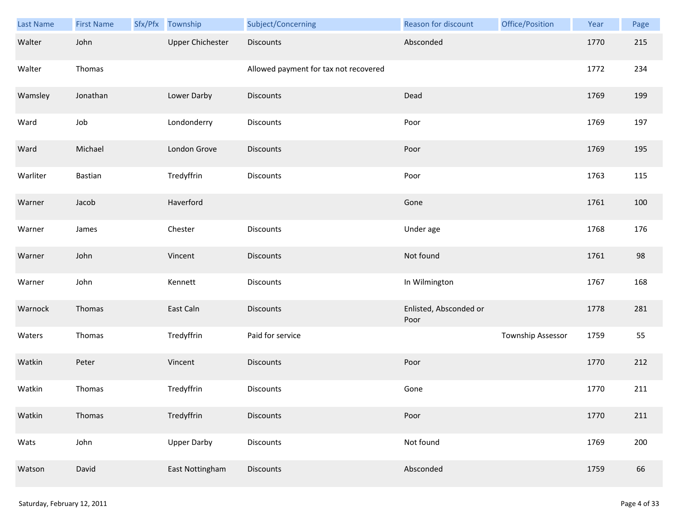| Last Name | <b>First Name</b> | Sfx/Pfx Township        | Subject/Concerning                    | Reason for discount            | Office/Position   | Year | Page |
|-----------|-------------------|-------------------------|---------------------------------------|--------------------------------|-------------------|------|------|
| Walter    | John              | <b>Upper Chichester</b> | <b>Discounts</b>                      | Absconded                      |                   | 1770 | 215  |
| Walter    | Thomas            |                         | Allowed payment for tax not recovered |                                |                   | 1772 | 234  |
| Wamsley   | Jonathan          | Lower Darby             | Discounts                             | Dead                           |                   | 1769 | 199  |
| Ward      | Job               | Londonderry             | Discounts                             | Poor                           |                   | 1769 | 197  |
| Ward      | Michael           | London Grove            | Discounts                             | Poor                           |                   | 1769 | 195  |
| Warliter  | Bastian           | Tredyffrin              | Discounts                             | Poor                           |                   | 1763 | 115  |
| Warner    | Jacob             | Haverford               |                                       | Gone                           |                   | 1761 | 100  |
| Warner    | James             | Chester                 | Discounts                             | Under age                      |                   | 1768 | 176  |
| Warner    | John              | Vincent                 | <b>Discounts</b>                      | Not found                      |                   | 1761 | 98   |
| Warner    | John              | Kennett                 | Discounts                             | In Wilmington                  |                   | 1767 | 168  |
| Warnock   | Thomas            | East Caln               | Discounts                             | Enlisted, Absconded or<br>Poor |                   | 1778 | 281  |
| Waters    | Thomas            | Tredyffrin              | Paid for service                      |                                | Township Assessor | 1759 | 55   |
| Watkin    | Peter             | Vincent                 | Discounts                             | Poor                           |                   | 1770 | 212  |
| Watkin    | Thomas            | Tredyffrin              | Discounts                             | Gone                           |                   | 1770 | 211  |
| Watkin    | Thomas            | Tredyffrin              | <b>Discounts</b>                      | Poor                           |                   | 1770 | 211  |
| Wats      | John              | <b>Upper Darby</b>      | Discounts                             | Not found                      |                   | 1769 | 200  |
| Watson    | David             | East Nottingham         | Discounts                             | Absconded                      |                   | 1759 | 66   |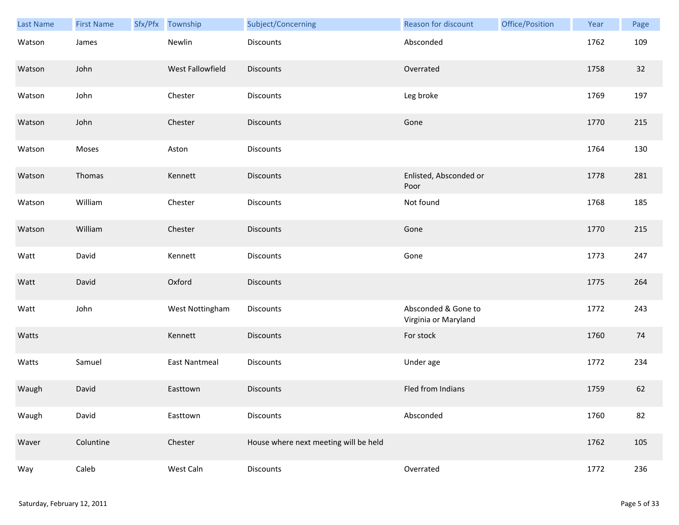| Last Name | <b>First Name</b> | Sfx/Pfx Township | Subject/Concerning                    | Reason for discount                         | Office/Position | Year | Page |
|-----------|-------------------|------------------|---------------------------------------|---------------------------------------------|-----------------|------|------|
| Watson    | James             | Newlin           | <b>Discounts</b>                      | Absconded                                   |                 | 1762 | 109  |
| Watson    | John              | West Fallowfield | <b>Discounts</b>                      | Overrated                                   |                 | 1758 | 32   |
| Watson    | John              | Chester          | Discounts                             | Leg broke                                   |                 | 1769 | 197  |
| Watson    | John              | Chester          | <b>Discounts</b>                      | Gone                                        |                 | 1770 | 215  |
| Watson    | Moses             | Aston            | Discounts                             |                                             |                 | 1764 | 130  |
| Watson    | Thomas            | Kennett          | <b>Discounts</b>                      | Enlisted, Absconded or<br>Poor              |                 | 1778 | 281  |
| Watson    | William           | Chester          | Discounts                             | Not found                                   |                 | 1768 | 185  |
| Watson    | William           | Chester          | Discounts                             | Gone                                        |                 | 1770 | 215  |
| Watt      | David             | Kennett          | Discounts                             | Gone                                        |                 | 1773 | 247  |
| Watt      | David             | Oxford           | <b>Discounts</b>                      |                                             |                 | 1775 | 264  |
| Watt      | John              | West Nottingham  | Discounts                             | Absconded & Gone to<br>Virginia or Maryland |                 | 1772 | 243  |
| Watts     |                   | Kennett          | <b>Discounts</b>                      | For stock                                   |                 | 1760 | 74   |
| Watts     | Samuel            | East Nantmeal    | Discounts                             | Under age                                   |                 | 1772 | 234  |
| Waugh     | David             | Easttown         | <b>Discounts</b>                      | Fled from Indians                           |                 | 1759 | 62   |
| Waugh     | David             | Easttown         | Discounts                             | Absconded                                   |                 | 1760 | 82   |
| Waver     | Coluntine         | Chester          | House where next meeting will be held |                                             |                 | 1762 | 105  |
| Way       | Caleb             | West Caln        | Discounts                             | Overrated                                   |                 | 1772 | 236  |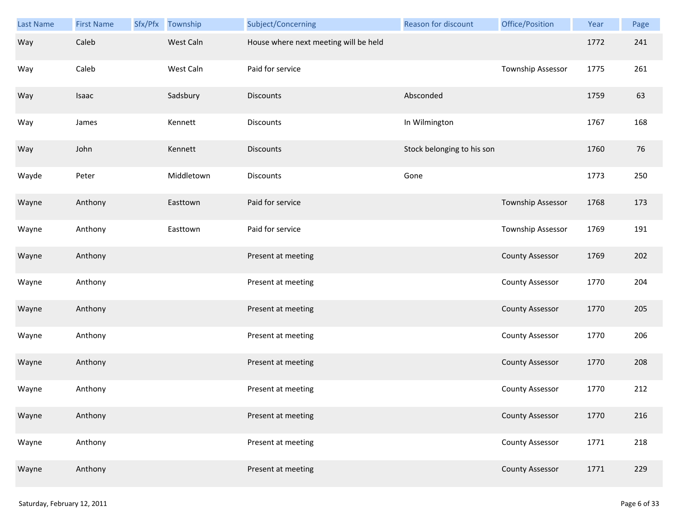| Last Name | <b>First Name</b> | Sfx/Pfx | Township   | Subject/Concerning                    | Reason for discount        | Office/Position        | Year | Page |
|-----------|-------------------|---------|------------|---------------------------------------|----------------------------|------------------------|------|------|
| Way       | Caleb             |         | West Caln  | House where next meeting will be held |                            |                        | 1772 | 241  |
| Way       | Caleb             |         | West Caln  | Paid for service                      |                            | Township Assessor      | 1775 | 261  |
| Way       | Isaac             |         | Sadsbury   | <b>Discounts</b>                      | Absconded                  |                        | 1759 | 63   |
| Way       | James             |         | Kennett    | <b>Discounts</b>                      | In Wilmington              |                        | 1767 | 168  |
| Way       | John              |         | Kennett    | <b>Discounts</b>                      | Stock belonging to his son |                        | 1760 | 76   |
| Wayde     | Peter             |         | Middletown | <b>Discounts</b>                      | Gone                       |                        | 1773 | 250  |
| Wayne     | Anthony           |         | Easttown   | Paid for service                      |                            | Township Assessor      | 1768 | 173  |
| Wayne     | Anthony           |         | Easttown   | Paid for service                      |                            | Township Assessor      | 1769 | 191  |
| Wayne     | Anthony           |         |            | Present at meeting                    |                            | <b>County Assessor</b> | 1769 | 202  |
| Wayne     | Anthony           |         |            | Present at meeting                    |                            | <b>County Assessor</b> | 1770 | 204  |
| Wayne     | Anthony           |         |            | Present at meeting                    |                            | <b>County Assessor</b> | 1770 | 205  |
| Wayne     | Anthony           |         |            | Present at meeting                    |                            | <b>County Assessor</b> | 1770 | 206  |
| Wayne     | Anthony           |         |            | Present at meeting                    |                            | <b>County Assessor</b> | 1770 | 208  |
| Wayne     | Anthony           |         |            | Present at meeting                    |                            | <b>County Assessor</b> | 1770 | 212  |
| Wayne     | Anthony           |         |            | Present at meeting                    |                            | <b>County Assessor</b> | 1770 | 216  |
| Wayne     | Anthony           |         |            | Present at meeting                    |                            | <b>County Assessor</b> | 1771 | 218  |
| Wayne     | Anthony           |         |            | Present at meeting                    |                            | <b>County Assessor</b> | 1771 | 229  |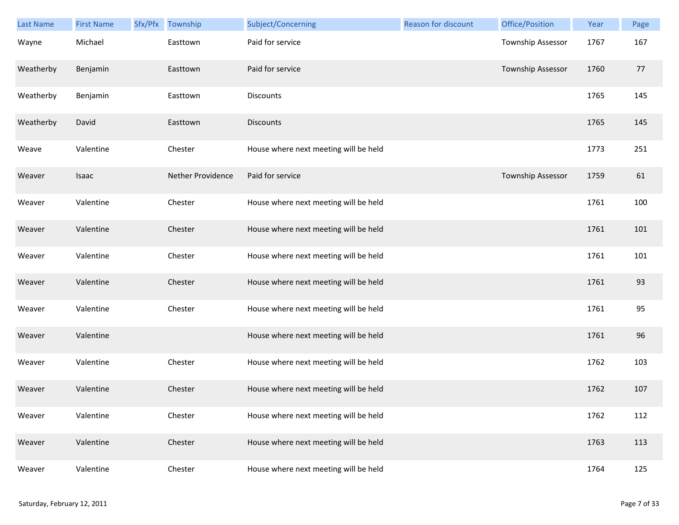| <b>Last Name</b> | <b>First Name</b> | Sfx/Pfx | Township          | Subject/Concerning                    | Reason for discount | Office/Position   | Year | Page |
|------------------|-------------------|---------|-------------------|---------------------------------------|---------------------|-------------------|------|------|
| Wayne            | Michael           |         | Easttown          | Paid for service                      |                     | Township Assessor | 1767 | 167  |
| Weatherby        | Benjamin          |         | Easttown          | Paid for service                      |                     | Township Assessor | 1760 | 77   |
| Weatherby        | Benjamin          |         | Easttown          | Discounts                             |                     |                   | 1765 | 145  |
| Weatherby        | David             |         | Easttown          | <b>Discounts</b>                      |                     |                   | 1765 | 145  |
| Weave            | Valentine         |         | Chester           | House where next meeting will be held |                     |                   | 1773 | 251  |
| Weaver           | Isaac             |         | Nether Providence | Paid for service                      |                     | Township Assessor | 1759 | 61   |
| Weaver           | Valentine         |         | Chester           | House where next meeting will be held |                     |                   | 1761 | 100  |
| Weaver           | Valentine         |         | Chester           | House where next meeting will be held |                     |                   | 1761 | 101  |
| Weaver           | Valentine         |         | Chester           | House where next meeting will be held |                     |                   | 1761 | 101  |
| Weaver           | Valentine         |         | Chester           | House where next meeting will be held |                     |                   | 1761 | 93   |
| Weaver           | Valentine         |         | Chester           | House where next meeting will be held |                     |                   | 1761 | 95   |
| Weaver           | Valentine         |         |                   | House where next meeting will be held |                     |                   | 1761 | 96   |
| Weaver           | Valentine         |         | Chester           | House where next meeting will be held |                     |                   | 1762 | 103  |
| Weaver           | Valentine         |         | Chester           | House where next meeting will be held |                     |                   | 1762 | 107  |
| Weaver           | Valentine         |         | Chester           | House where next meeting will be held |                     |                   | 1762 | 112  |
| Weaver           | Valentine         |         | Chester           | House where next meeting will be held |                     |                   | 1763 | 113  |
| Weaver           | Valentine         |         | Chester           | House where next meeting will be held |                     |                   | 1764 | 125  |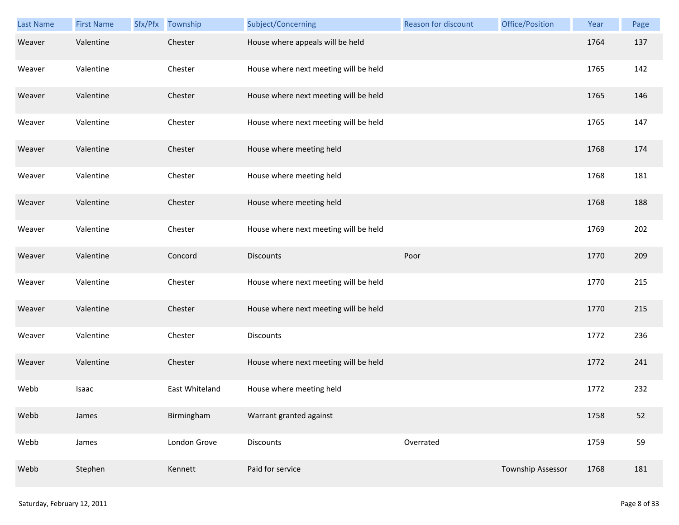| Last Name | <b>First Name</b> | Sfx/Pfx Township | Subject/Concerning                    | <b>Reason for discount</b> | Office/Position   | Year | Page |
|-----------|-------------------|------------------|---------------------------------------|----------------------------|-------------------|------|------|
| Weaver    | Valentine         | Chester          | House where appeals will be held      |                            |                   | 1764 | 137  |
| Weaver    | Valentine         | Chester          | House where next meeting will be held |                            |                   | 1765 | 142  |
| Weaver    | Valentine         | Chester          | House where next meeting will be held |                            |                   | 1765 | 146  |
| Weaver    | Valentine         | Chester          | House where next meeting will be held |                            |                   | 1765 | 147  |
| Weaver    | Valentine         | Chester          | House where meeting held              |                            |                   | 1768 | 174  |
| Weaver    | Valentine         | Chester          | House where meeting held              |                            |                   | 1768 | 181  |
| Weaver    | Valentine         | Chester          | House where meeting held              |                            |                   | 1768 | 188  |
| Weaver    | Valentine         | Chester          | House where next meeting will be held |                            |                   | 1769 | 202  |
| Weaver    | Valentine         | Concord          | <b>Discounts</b>                      | Poor                       |                   | 1770 | 209  |
| Weaver    | Valentine         | Chester          | House where next meeting will be held |                            |                   | 1770 | 215  |
| Weaver    | Valentine         | Chester          | House where next meeting will be held |                            |                   | 1770 | 215  |
| Weaver    | Valentine         | Chester          | <b>Discounts</b>                      |                            |                   | 1772 | 236  |
| Weaver    | Valentine         | Chester          | House where next meeting will be held |                            |                   | 1772 | 241  |
| Webb      | Isaac             | East Whiteland   | House where meeting held              |                            |                   | 1772 | 232  |
| Webb      | James             | Birmingham       | Warrant granted against               |                            |                   | 1758 | 52   |
| Webb      | James             | London Grove     | Discounts                             | Overrated                  |                   | 1759 | 59   |
| Webb      | Stephen           | Kennett          | Paid for service                      |                            | Township Assessor | 1768 | 181  |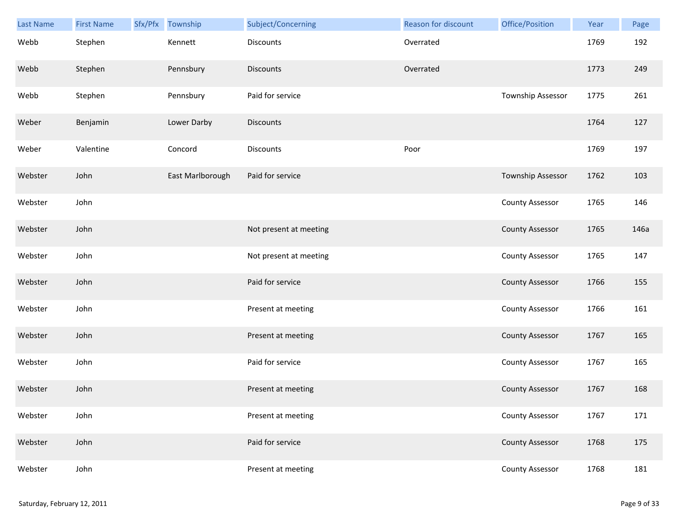| <b>Last Name</b> | <b>First Name</b> | Sfx/Pfx | Township         | Subject/Concerning     | Reason for discount | Office/Position          | Year | Page |
|------------------|-------------------|---------|------------------|------------------------|---------------------|--------------------------|------|------|
| Webb             | Stephen           |         | Kennett          | <b>Discounts</b>       | Overrated           |                          | 1769 | 192  |
| Webb             | Stephen           |         | Pennsbury        | <b>Discounts</b>       | Overrated           |                          | 1773 | 249  |
| Webb             | Stephen           |         | Pennsbury        | Paid for service       |                     | Township Assessor        | 1775 | 261  |
| Weber            | Benjamin          |         | Lower Darby      | <b>Discounts</b>       |                     |                          | 1764 | 127  |
| Weber            | Valentine         |         | Concord          | <b>Discounts</b>       | Poor                |                          | 1769 | 197  |
| Webster          | John              |         | East Marlborough | Paid for service       |                     | <b>Township Assessor</b> | 1762 | 103  |
| Webster          | John              |         |                  |                        |                     | <b>County Assessor</b>   | 1765 | 146  |
| Webster          | John              |         |                  | Not present at meeting |                     | <b>County Assessor</b>   | 1765 | 146a |
| Webster          | John              |         |                  | Not present at meeting |                     | <b>County Assessor</b>   | 1765 | 147  |
| Webster          | John              |         |                  | Paid for service       |                     | <b>County Assessor</b>   | 1766 | 155  |
| Webster          | John              |         |                  | Present at meeting     |                     | <b>County Assessor</b>   | 1766 | 161  |
| Webster          | John              |         |                  | Present at meeting     |                     | <b>County Assessor</b>   | 1767 | 165  |
| Webster          | John              |         |                  | Paid for service       |                     | <b>County Assessor</b>   | 1767 | 165  |
| Webster          | John              |         |                  | Present at meeting     |                     | <b>County Assessor</b>   | 1767 | 168  |
| Webster          | John              |         |                  | Present at meeting     |                     | <b>County Assessor</b>   | 1767 | 171  |
| Webster          | John              |         |                  | Paid for service       |                     | <b>County Assessor</b>   | 1768 | 175  |
| Webster          | John              |         |                  | Present at meeting     |                     | <b>County Assessor</b>   | 1768 | 181  |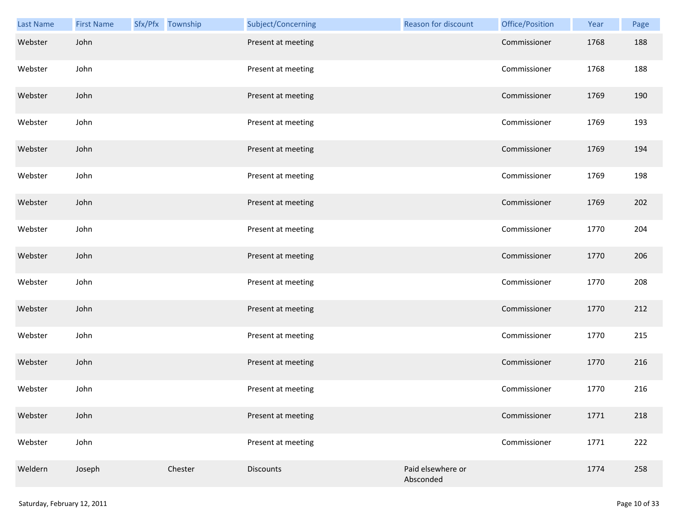| Last Name | <b>First Name</b> | Sfx/Pfx Township | Subject/Concerning | Reason for discount            | Office/Position | Year | Page |
|-----------|-------------------|------------------|--------------------|--------------------------------|-----------------|------|------|
| Webster   | John              |                  | Present at meeting |                                | Commissioner    | 1768 | 188  |
| Webster   | John              |                  | Present at meeting |                                | Commissioner    | 1768 | 188  |
| Webster   | John              |                  | Present at meeting |                                | Commissioner    | 1769 | 190  |
| Webster   | John              |                  | Present at meeting |                                | Commissioner    | 1769 | 193  |
| Webster   | John              |                  | Present at meeting |                                | Commissioner    | 1769 | 194  |
| Webster   | John              |                  | Present at meeting |                                | Commissioner    | 1769 | 198  |
| Webster   | John              |                  | Present at meeting |                                | Commissioner    | 1769 | 202  |
| Webster   | John              |                  | Present at meeting |                                | Commissioner    | 1770 | 204  |
| Webster   | John              |                  | Present at meeting |                                | Commissioner    | 1770 | 206  |
| Webster   | John              |                  | Present at meeting |                                | Commissioner    | 1770 | 208  |
| Webster   | John              |                  | Present at meeting |                                | Commissioner    | 1770 | 212  |
| Webster   | John              |                  | Present at meeting |                                | Commissioner    | 1770 | 215  |
| Webster   | John              |                  | Present at meeting |                                | Commissioner    | 1770 | 216  |
| Webster   | John              |                  | Present at meeting |                                | Commissioner    | 1770 | 216  |
| Webster   | John              |                  | Present at meeting |                                | Commissioner    | 1771 | 218  |
| Webster   | John              |                  | Present at meeting |                                | Commissioner    | 1771 | 222  |
| Weldern   | Joseph            | Chester          | <b>Discounts</b>   | Paid elsewhere or<br>Absconded |                 | 1774 | 258  |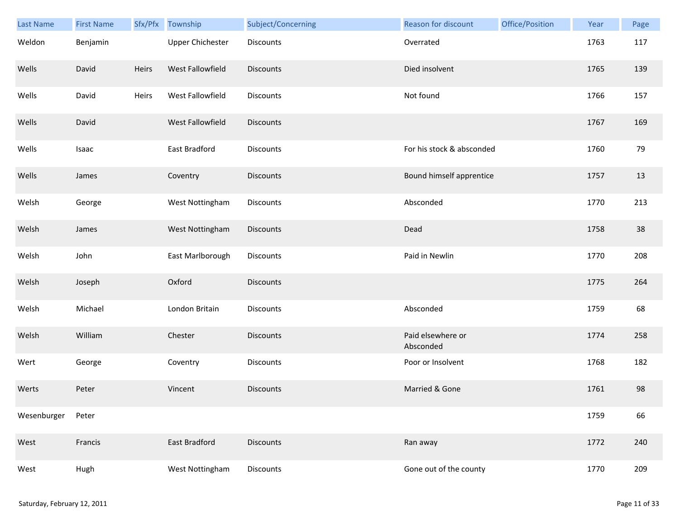| <b>Last Name</b> | <b>First Name</b> | Sfx/Pfx | Township         | Subject/Concerning | <b>Reason for discount</b>     | Office/Position | Year | Page |
|------------------|-------------------|---------|------------------|--------------------|--------------------------------|-----------------|------|------|
| Weldon           | Benjamin          |         | Upper Chichester | <b>Discounts</b>   | Overrated                      |                 | 1763 | 117  |
| Wells            | David             | Heirs   | West Fallowfield | <b>Discounts</b>   | Died insolvent                 |                 | 1765 | 139  |
| Wells            | David             | Heirs   | West Fallowfield | Discounts          | Not found                      |                 | 1766 | 157  |
| Wells            | David             |         | West Fallowfield | <b>Discounts</b>   |                                |                 | 1767 | 169  |
| Wells            | Isaac             |         | East Bradford    | Discounts          | For his stock & absconded      |                 | 1760 | 79   |
| Wells            | James             |         | Coventry         | <b>Discounts</b>   | Bound himself apprentice       |                 | 1757 | 13   |
| Welsh            | George            |         | West Nottingham  | <b>Discounts</b>   | Absconded                      |                 | 1770 | 213  |
| Welsh            | James             |         | West Nottingham  | Discounts          | Dead                           |                 | 1758 | 38   |
| Welsh            | John              |         | East Marlborough | <b>Discounts</b>   | Paid in Newlin                 |                 | 1770 | 208  |
| Welsh            | Joseph            |         | Oxford           | <b>Discounts</b>   |                                |                 | 1775 | 264  |
| Welsh            | Michael           |         | London Britain   | <b>Discounts</b>   | Absconded                      |                 | 1759 | 68   |
| Welsh            | William           |         | Chester          | <b>Discounts</b>   | Paid elsewhere or<br>Absconded |                 | 1774 | 258  |
| Wert             | George            |         | Coventry         | Discounts          | Poor or Insolvent              |                 | 1768 | 182  |
| Werts            | Peter             |         | Vincent          | <b>Discounts</b>   | Married & Gone                 |                 | 1761 | 98   |
| Wesenburger      | Peter             |         |                  |                    |                                |                 | 1759 | 66   |
| West             | Francis           |         | East Bradford    | <b>Discounts</b>   | Ran away                       |                 | 1772 | 240  |
| West             | Hugh              |         | West Nottingham  | <b>Discounts</b>   | Gone out of the county         |                 | 1770 | 209  |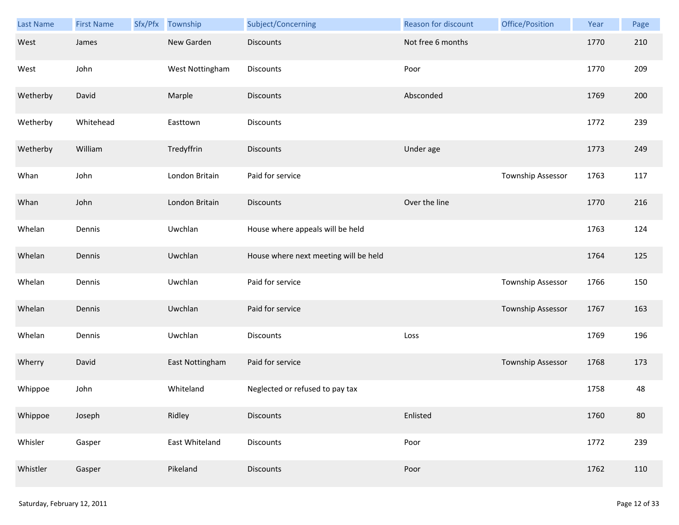| Last Name | <b>First Name</b> | Sfx/Pfx | Township        | Subject/Concerning                    | Reason for discount | Office/Position   | Year | Page |
|-----------|-------------------|---------|-----------------|---------------------------------------|---------------------|-------------------|------|------|
| West      | James             |         | New Garden      | <b>Discounts</b>                      | Not free 6 months   |                   | 1770 | 210  |
| West      | John              |         | West Nottingham | Discounts                             | Poor                |                   | 1770 | 209  |
| Wetherby  | David             |         | Marple          | <b>Discounts</b>                      | Absconded           |                   | 1769 | 200  |
| Wetherby  | Whitehead         |         | Easttown        | Discounts                             |                     |                   | 1772 | 239  |
| Wetherby  | William           |         | Tredyffrin      | <b>Discounts</b>                      | Under age           |                   | 1773 | 249  |
| Whan      | John              |         | London Britain  | Paid for service                      |                     | Township Assessor | 1763 | 117  |
| Whan      | John              |         | London Britain  | <b>Discounts</b>                      | Over the line       |                   | 1770 | 216  |
| Whelan    | Dennis            |         | Uwchlan         | House where appeals will be held      |                     |                   | 1763 | 124  |
| Whelan    | Dennis            |         | Uwchlan         | House where next meeting will be held |                     |                   | 1764 | 125  |
| Whelan    | Dennis            |         | Uwchlan         | Paid for service                      |                     | Township Assessor | 1766 | 150  |
| Whelan    | Dennis            |         | Uwchlan         | Paid for service                      |                     | Township Assessor | 1767 | 163  |
| Whelan    | Dennis            |         | Uwchlan         | Discounts                             | Loss                |                   | 1769 | 196  |
| Wherry    | David             |         | East Nottingham | Paid for service                      |                     | Township Assessor | 1768 | 173  |
| Whippoe   | John              |         | Whiteland       | Neglected or refused to pay tax       |                     |                   | 1758 | 48   |
| Whippoe   | Joseph            |         | Ridley          | <b>Discounts</b>                      | Enlisted            |                   | 1760 | 80   |
| Whisler   | Gasper            |         | East Whiteland  | Discounts                             | Poor                |                   | 1772 | 239  |
| Whistler  | Gasper            |         | Pikeland        | Discounts                             | Poor                |                   | 1762 | 110  |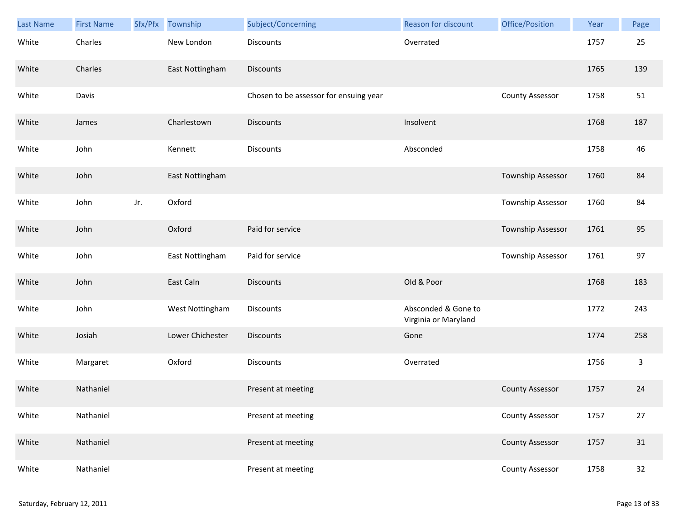| <b>Last Name</b> | <b>First Name</b> | Sfx/Pfx | Township         | Subject/Concerning                     | <b>Reason for discount</b>                  | Office/Position          | Year | Page |
|------------------|-------------------|---------|------------------|----------------------------------------|---------------------------------------------|--------------------------|------|------|
| White            | Charles           |         | New London       | <b>Discounts</b>                       | Overrated                                   |                          | 1757 | 25   |
| White            | Charles           |         | East Nottingham  | <b>Discounts</b>                       |                                             |                          | 1765 | 139  |
| White            | Davis             |         |                  | Chosen to be assessor for ensuing year |                                             | <b>County Assessor</b>   | 1758 | 51   |
| White            | James             |         | Charlestown      | <b>Discounts</b>                       | Insolvent                                   |                          | 1768 | 187  |
| White            | John              |         | Kennett          | <b>Discounts</b>                       | Absconded                                   |                          | 1758 | 46   |
| White            | John              |         | East Nottingham  |                                        |                                             | <b>Township Assessor</b> | 1760 | 84   |
| White            | John              | Jr.     | Oxford           |                                        |                                             | <b>Township Assessor</b> | 1760 | 84   |
| White            | John              |         | Oxford           | Paid for service                       |                                             | Township Assessor        | 1761 | 95   |
| White            | John              |         | East Nottingham  | Paid for service                       |                                             | Township Assessor        | 1761 | 97   |
| White            | John              |         | East Caln        | <b>Discounts</b>                       | Old & Poor                                  |                          | 1768 | 183  |
| White            | John              |         | West Nottingham  | Discounts                              | Absconded & Gone to<br>Virginia or Maryland |                          | 1772 | 243  |
| White            | Josiah            |         | Lower Chichester | Discounts                              | Gone                                        |                          | 1774 | 258  |
| White            | Margaret          |         | Oxford           | <b>Discounts</b>                       | Overrated                                   |                          | 1756 | 3    |
| White            | Nathaniel         |         |                  | Present at meeting                     |                                             | <b>County Assessor</b>   | 1757 | 24   |
| White            | Nathaniel         |         |                  | Present at meeting                     |                                             | <b>County Assessor</b>   | 1757 | 27   |
| White            | Nathaniel         |         |                  | Present at meeting                     |                                             | <b>County Assessor</b>   | 1757 | 31   |
| White            | Nathaniel         |         |                  | Present at meeting                     |                                             | <b>County Assessor</b>   | 1758 | 32   |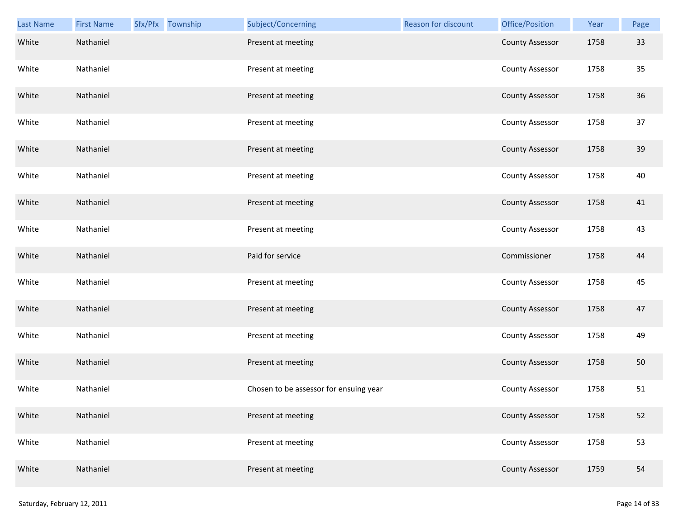| Last Name | <b>First Name</b> | Sfx/Pfx Township | Subject/Concerning                     | <b>Reason for discount</b> | Office/Position        | Year | Page |
|-----------|-------------------|------------------|----------------------------------------|----------------------------|------------------------|------|------|
| White     | Nathaniel         |                  | Present at meeting                     |                            | <b>County Assessor</b> | 1758 | 33   |
| White     | Nathaniel         |                  | Present at meeting                     |                            | <b>County Assessor</b> | 1758 | 35   |
| White     | Nathaniel         |                  | Present at meeting                     |                            | <b>County Assessor</b> | 1758 | 36   |
| White     | Nathaniel         |                  | Present at meeting                     |                            | <b>County Assessor</b> | 1758 | 37   |
| White     | Nathaniel         |                  | Present at meeting                     |                            | <b>County Assessor</b> | 1758 | 39   |
| White     | Nathaniel         |                  | Present at meeting                     |                            | <b>County Assessor</b> | 1758 | 40   |
| White     | Nathaniel         |                  | Present at meeting                     |                            | <b>County Assessor</b> | 1758 | 41   |
| White     | Nathaniel         |                  | Present at meeting                     |                            | <b>County Assessor</b> | 1758 | 43   |
| White     | Nathaniel         |                  | Paid for service                       |                            | Commissioner           | 1758 | 44   |
| White     | Nathaniel         |                  | Present at meeting                     |                            | <b>County Assessor</b> | 1758 | 45   |
| White     | Nathaniel         |                  | Present at meeting                     |                            | <b>County Assessor</b> | 1758 | 47   |
| White     | Nathaniel         |                  | Present at meeting                     |                            | <b>County Assessor</b> | 1758 | 49   |
| White     | Nathaniel         |                  | Present at meeting                     |                            | <b>County Assessor</b> | 1758 | 50   |
| White     | Nathaniel         |                  | Chosen to be assessor for ensuing year |                            | <b>County Assessor</b> | 1758 | 51   |
| White     | Nathaniel         |                  | Present at meeting                     |                            | <b>County Assessor</b> | 1758 | 52   |
| White     | Nathaniel         |                  | Present at meeting                     |                            | <b>County Assessor</b> | 1758 | 53   |
| White     | Nathaniel         |                  | Present at meeting                     |                            | <b>County Assessor</b> | 1759 | 54   |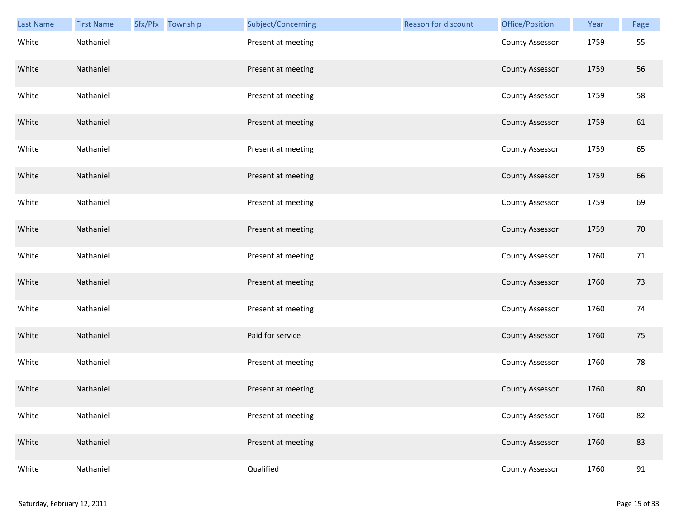| Last Name | <b>First Name</b> | Sfx/Pfx Township | Subject/Concerning | <b>Reason for discount</b> | Office/Position        | Year | Page   |
|-----------|-------------------|------------------|--------------------|----------------------------|------------------------|------|--------|
| White     | Nathaniel         |                  | Present at meeting |                            | <b>County Assessor</b> | 1759 | 55     |
| White     | Nathaniel         |                  | Present at meeting |                            | <b>County Assessor</b> | 1759 | 56     |
| White     | Nathaniel         |                  | Present at meeting |                            | <b>County Assessor</b> | 1759 | 58     |
| White     | Nathaniel         |                  | Present at meeting |                            | <b>County Assessor</b> | 1759 | 61     |
| White     | Nathaniel         |                  | Present at meeting |                            | <b>County Assessor</b> | 1759 | 65     |
| White     | Nathaniel         |                  | Present at meeting |                            | <b>County Assessor</b> | 1759 | 66     |
| White     | Nathaniel         |                  | Present at meeting |                            | <b>County Assessor</b> | 1759 | 69     |
| White     | Nathaniel         |                  | Present at meeting |                            | <b>County Assessor</b> | 1759 | 70     |
| White     | Nathaniel         |                  | Present at meeting |                            | <b>County Assessor</b> | 1760 | 71     |
| White     | Nathaniel         |                  | Present at meeting |                            | <b>County Assessor</b> | 1760 | 73     |
| White     | Nathaniel         |                  | Present at meeting |                            | <b>County Assessor</b> | 1760 | 74     |
| White     | Nathaniel         |                  | Paid for service   |                            | <b>County Assessor</b> | 1760 | 75     |
| White     | Nathaniel         |                  | Present at meeting |                            | <b>County Assessor</b> | 1760 | 78     |
| White     | Nathaniel         |                  | Present at meeting |                            | <b>County Assessor</b> | 1760 | 80     |
| White     | Nathaniel         |                  | Present at meeting |                            | <b>County Assessor</b> | 1760 | 82     |
| White     | Nathaniel         |                  | Present at meeting |                            | <b>County Assessor</b> | 1760 | 83     |
| White     | Nathaniel         |                  | Qualified          |                            | <b>County Assessor</b> | 1760 | $91\,$ |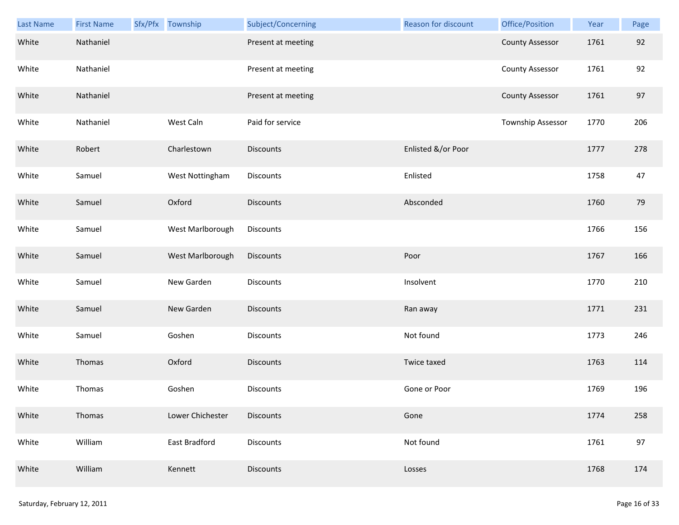| <b>Last Name</b> | <b>First Name</b> | Sfx/Pfx Township | Subject/Concerning | Reason for discount | Office/Position        | Year | Page |
|------------------|-------------------|------------------|--------------------|---------------------|------------------------|------|------|
| White            | Nathaniel         |                  | Present at meeting |                     | <b>County Assessor</b> | 1761 | 92   |
| White            | Nathaniel         |                  | Present at meeting |                     | <b>County Assessor</b> | 1761 | 92   |
| White            | Nathaniel         |                  | Present at meeting |                     | <b>County Assessor</b> | 1761 | 97   |
| White            | Nathaniel         | West Caln        | Paid for service   |                     | Township Assessor      | 1770 | 206  |
| White            | Robert            | Charlestown      | <b>Discounts</b>   | Enlisted &/or Poor  |                        | 1777 | 278  |
| White            | Samuel            | West Nottingham  | Discounts          | Enlisted            |                        | 1758 | 47   |
| White            | Samuel            | Oxford           | <b>Discounts</b>   | Absconded           |                        | 1760 | 79   |
| White            | Samuel            | West Marlborough | Discounts          |                     |                        | 1766 | 156  |
| White            | Samuel            | West Marlborough | <b>Discounts</b>   | Poor                |                        | 1767 | 166  |
| White            | Samuel            | New Garden       | Discounts          | Insolvent           |                        | 1770 | 210  |
| White            | Samuel            | New Garden       | <b>Discounts</b>   | Ran away            |                        | 1771 | 231  |
| White            | Samuel            | Goshen           | Discounts          | Not found           |                        | 1773 | 246  |
| White            | Thomas            | Oxford           | Discounts          | Twice taxed         |                        | 1763 | 114  |
| White            | Thomas            | Goshen           | Discounts          | Gone or Poor        |                        | 1769 | 196  |
| White            | Thomas            | Lower Chichester | Discounts          | Gone                |                        | 1774 | 258  |
| White            | William           | East Bradford    | Discounts          | Not found           |                        | 1761 | 97   |
| White            | William           | Kennett          | Discounts          | Losses              |                        | 1768 | 174  |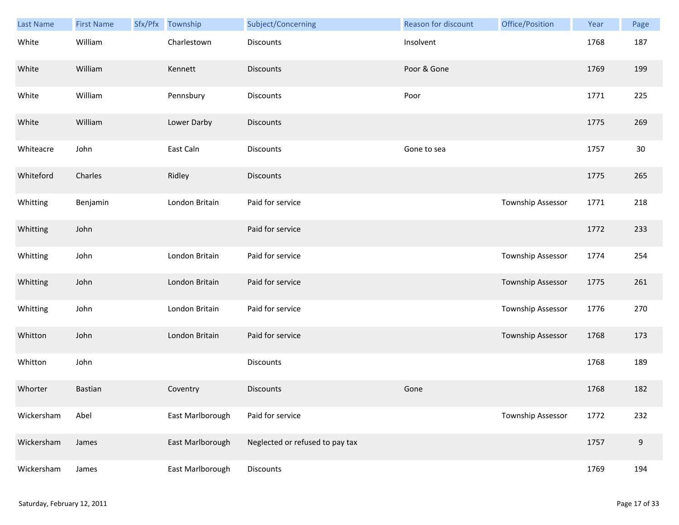| Last Name  | <b>First Name</b> | Sfx/Pfx | Township         | Subject/Concerning              | Reason for discount | Office/Position          | Year | Page             |
|------------|-------------------|---------|------------------|---------------------------------|---------------------|--------------------------|------|------------------|
| White      | William           |         | Charlestown      | <b>Discounts</b>                | Insolvent           |                          | 1768 | 187              |
| White      | William           |         | Kennett          | <b>Discounts</b>                | Poor & Gone         |                          | 1769 | 199              |
| White      | William           |         | Pennsbury        | Discounts                       | Poor                |                          | 1771 | 225              |
| White      | William           |         | Lower Darby      | <b>Discounts</b>                |                     |                          | 1775 | 269              |
| Whiteacre  | John              |         | East Caln        | <b>Discounts</b>                | Gone to sea         |                          | 1757 | $30\,$           |
| Whiteford  | Charles           |         | Ridley           | <b>Discounts</b>                |                     |                          | 1775 | 265              |
| Whitting   | Benjamin          |         | London Britain   | Paid for service                |                     | Township Assessor        | 1771 | 218              |
| Whitting   | John              |         |                  | Paid for service                |                     |                          | 1772 | 233              |
| Whitting   | John              |         | London Britain   | Paid for service                |                     | Township Assessor        | 1774 | 254              |
| Whitting   | John              |         | London Britain   | Paid for service                |                     | <b>Township Assessor</b> | 1775 | 261              |
| Whitting   | John              |         | London Britain   | Paid for service                |                     | <b>Township Assessor</b> | 1776 | 270              |
| Whitton    | John              |         | London Britain   | Paid for service                |                     | Township Assessor        | 1768 | 173              |
| Whitton    | John              |         |                  | Discounts                       |                     |                          | 1768 | 189              |
| Whorter    | Bastian           |         | Coventry         | <b>Discounts</b>                | Gone                |                          | 1768 | 182              |
| Wickersham | Abel              |         | East Marlborough | Paid for service                |                     | Township Assessor        | 1772 | 232              |
| Wickersham | James             |         | East Marlborough | Neglected or refused to pay tax |                     |                          | 1757 | $\boldsymbol{9}$ |
| Wickersham | James             |         | East Marlborough | Discounts                       |                     |                          | 1769 | 194              |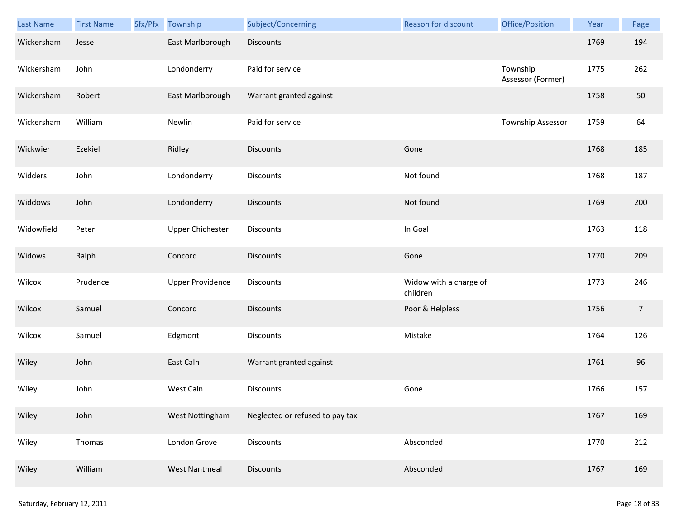| <b>Last Name</b> | <b>First Name</b> | Sfx/Pfx | Township                | Subject/Concerning              | Reason for discount                | Office/Position               | Year | Page           |
|------------------|-------------------|---------|-------------------------|---------------------------------|------------------------------------|-------------------------------|------|----------------|
| Wickersham       | Jesse             |         | East Marlborough        | <b>Discounts</b>                |                                    |                               | 1769 | 194            |
| Wickersham       | John              |         | Londonderry             | Paid for service                |                                    | Township<br>Assessor (Former) | 1775 | 262            |
| Wickersham       | Robert            |         | East Marlborough        | Warrant granted against         |                                    |                               | 1758 | 50             |
| Wickersham       | William           |         | Newlin                  | Paid for service                |                                    | Township Assessor             | 1759 | 64             |
| Wickwier         | Ezekiel           |         | Ridley                  | Discounts                       | Gone                               |                               | 1768 | 185            |
| Widders          | John              |         | Londonderry             | Discounts                       | Not found                          |                               | 1768 | 187            |
| Widdows          | John              |         | Londonderry             | Discounts                       | Not found                          |                               | 1769 | 200            |
| Widowfield       | Peter             |         | <b>Upper Chichester</b> | Discounts                       | In Goal                            |                               | 1763 | 118            |
| Widows           | Ralph             |         | Concord                 | Discounts                       | Gone                               |                               | 1770 | 209            |
| Wilcox           | Prudence          |         | <b>Upper Providence</b> | Discounts                       | Widow with a charge of<br>children |                               | 1773 | 246            |
| Wilcox           | Samuel            |         | Concord                 | Discounts                       | Poor & Helpless                    |                               | 1756 | $\overline{7}$ |
| Wilcox           | Samuel            |         | Edgmont                 | Discounts                       | Mistake                            |                               | 1764 | 126            |
| Wiley            | John              |         | East Caln               | Warrant granted against         |                                    |                               | 1761 | 96             |
| Wiley            | John              |         | West Caln               | Discounts                       | Gone                               |                               | 1766 | 157            |
| Wiley            | John              |         | West Nottingham         | Neglected or refused to pay tax |                                    |                               | 1767 | 169            |
| Wiley            | Thomas            |         | London Grove            | <b>Discounts</b>                | Absconded                          |                               | 1770 | 212            |
| Wiley            | William           |         | <b>West Nantmeal</b>    | Discounts                       | Absconded                          |                               | 1767 | 169            |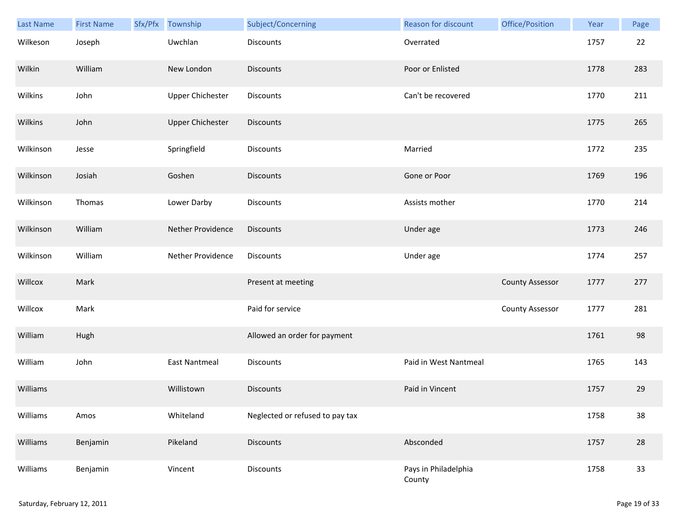| Last Name | <b>First Name</b> | Sfx/Pfx Township        | Subject/Concerning              | <b>Reason for discount</b>     | Office/Position        | Year | Page |
|-----------|-------------------|-------------------------|---------------------------------|--------------------------------|------------------------|------|------|
| Wilkeson  | Joseph            | Uwchlan                 | Discounts                       | Overrated                      |                        | 1757 | 22   |
| Wilkin    | William           | New London              | <b>Discounts</b>                | Poor or Enlisted               |                        | 1778 | 283  |
| Wilkins   | John              | <b>Upper Chichester</b> | Discounts                       | Can't be recovered             |                        | 1770 | 211  |
| Wilkins   | John              | <b>Upper Chichester</b> | <b>Discounts</b>                |                                |                        | 1775 | 265  |
| Wilkinson | Jesse             | Springfield             | Discounts                       | Married                        |                        | 1772 | 235  |
| Wilkinson | Josiah            | Goshen                  | <b>Discounts</b>                | Gone or Poor                   |                        | 1769 | 196  |
| Wilkinson | Thomas            | Lower Darby             | Discounts                       | Assists mother                 |                        | 1770 | 214  |
| Wilkinson | William           | Nether Providence       | <b>Discounts</b>                | Under age                      |                        | 1773 | 246  |
| Wilkinson | William           | Nether Providence       | <b>Discounts</b>                | Under age                      |                        | 1774 | 257  |
| Willcox   | Mark              |                         | Present at meeting              |                                | <b>County Assessor</b> | 1777 | 277  |
| Willcox   | Mark              |                         | Paid for service                |                                | <b>County Assessor</b> | 1777 | 281  |
| William   | Hugh              |                         | Allowed an order for payment    |                                |                        | 1761 | 98   |
| William   | John              | <b>East Nantmeal</b>    | <b>Discounts</b>                | Paid in West Nantmeal          |                        | 1765 | 143  |
| Williams  |                   | Willistown              | <b>Discounts</b>                | Paid in Vincent                |                        | 1757 | 29   |
| Williams  | Amos              | Whiteland               | Neglected or refused to pay tax |                                |                        | 1758 | 38   |
| Williams  | Benjamin          | Pikeland                | <b>Discounts</b>                | Absconded                      |                        | 1757 | 28   |
| Williams  | Benjamin          | Vincent                 | Discounts                       | Pays in Philadelphia<br>County |                        | 1758 | 33   |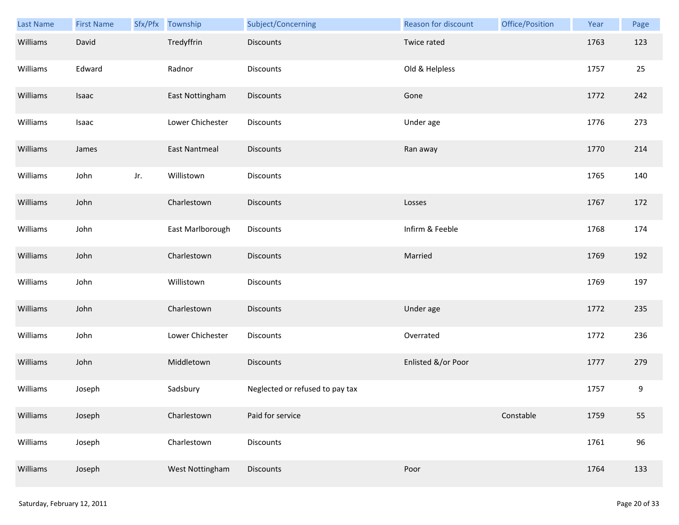| Last Name | <b>First Name</b> | Sfx/Pfx | Township             | Subject/Concerning              | Reason for discount | Office/Position | Year | Page |
|-----------|-------------------|---------|----------------------|---------------------------------|---------------------|-----------------|------|------|
| Williams  | David             |         | Tredyffrin           | <b>Discounts</b>                | Twice rated         |                 | 1763 | 123  |
| Williams  | Edward            |         | Radnor               | <b>Discounts</b>                | Old & Helpless      |                 | 1757 | 25   |
| Williams  | Isaac             |         | East Nottingham      | Discounts                       | Gone                |                 | 1772 | 242  |
| Williams  | Isaac             |         | Lower Chichester     | <b>Discounts</b>                | Under age           |                 | 1776 | 273  |
| Williams  | James             |         | <b>East Nantmeal</b> | <b>Discounts</b>                | Ran away            |                 | 1770 | 214  |
| Williams  | John              | Jr.     | Willistown           | Discounts                       |                     |                 | 1765 | 140  |
| Williams  | John              |         | Charlestown          | <b>Discounts</b>                | Losses              |                 | 1767 | 172  |
| Williams  | John              |         | East Marlborough     | Discounts                       | Infirm & Feeble     |                 | 1768 | 174  |
| Williams  | John              |         | Charlestown          | <b>Discounts</b>                | Married             |                 | 1769 | 192  |
| Williams  | John              |         | Willistown           | Discounts                       |                     |                 | 1769 | 197  |
| Williams  | John              |         | Charlestown          | <b>Discounts</b>                | Under age           |                 | 1772 | 235  |
| Williams  | John              |         | Lower Chichester     | Discounts                       | Overrated           |                 | 1772 | 236  |
| Williams  | John              |         | Middletown           | <b>Discounts</b>                | Enlisted &/or Poor  |                 | 1777 | 279  |
| Williams  | Joseph            |         | Sadsbury             | Neglected or refused to pay tax |                     |                 | 1757 | 9    |
| Williams  | Joseph            |         | Charlestown          | Paid for service                |                     | Constable       | 1759 | 55   |
| Williams  | Joseph            |         | Charlestown          | <b>Discounts</b>                |                     |                 | 1761 | 96   |
| Williams  | Joseph            |         | West Nottingham      | Discounts                       | Poor                |                 | 1764 | 133  |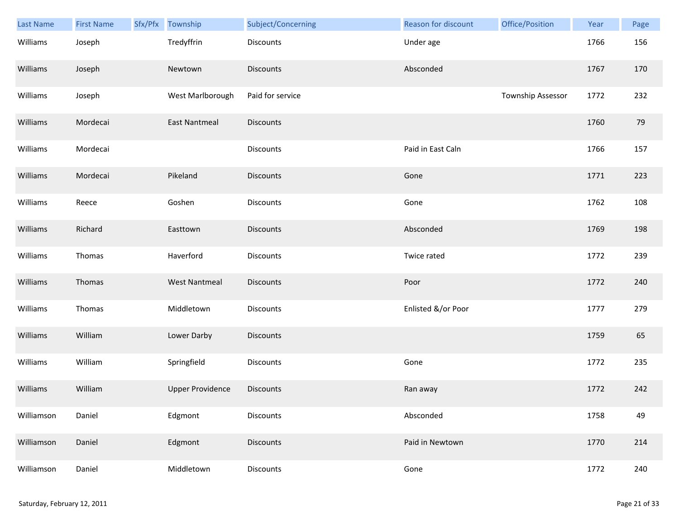| Last Name  | <b>First Name</b> | Sfx/Pfx Township        | Subject/Concerning | Reason for discount | Office/Position   | Year | Page |
|------------|-------------------|-------------------------|--------------------|---------------------|-------------------|------|------|
| Williams   | Joseph            | Tredyffrin              | Discounts          | Under age           |                   | 1766 | 156  |
| Williams   | Joseph            | Newtown                 | <b>Discounts</b>   | Absconded           |                   | 1767 | 170  |
| Williams   | Joseph            | West Marlborough        | Paid for service   |                     | Township Assessor | 1772 | 232  |
| Williams   | Mordecai          | <b>East Nantmeal</b>    | <b>Discounts</b>   |                     |                   | 1760 | 79   |
| Williams   | Mordecai          |                         | Discounts          | Paid in East Caln   |                   | 1766 | 157  |
| Williams   | Mordecai          | Pikeland                | <b>Discounts</b>   | Gone                |                   | 1771 | 223  |
| Williams   | Reece             | Goshen                  | Discounts          | Gone                |                   | 1762 | 108  |
| Williams   | Richard           | Easttown                | Discounts          | Absconded           |                   | 1769 | 198  |
| Williams   | Thomas            | Haverford               | Discounts          | Twice rated         |                   | 1772 | 239  |
| Williams   | Thomas            | <b>West Nantmeal</b>    | <b>Discounts</b>   | Poor                |                   | 1772 | 240  |
| Williams   | Thomas            | Middletown              | Discounts          | Enlisted &/or Poor  |                   | 1777 | 279  |
| Williams   | William           | Lower Darby             | Discounts          |                     |                   | 1759 | 65   |
| Williams   | William           | Springfield             | Discounts          | Gone                |                   | 1772 | 235  |
| Williams   | William           | <b>Upper Providence</b> | <b>Discounts</b>   | Ran away            |                   | 1772 | 242  |
| Williamson | Daniel            | Edgmont                 | Discounts          | Absconded           |                   | 1758 | 49   |
| Williamson | Daniel            | Edgmont                 | <b>Discounts</b>   | Paid in Newtown     |                   | 1770 | 214  |
| Williamson | Daniel            | Middletown              | Discounts          | Gone                |                   | 1772 | 240  |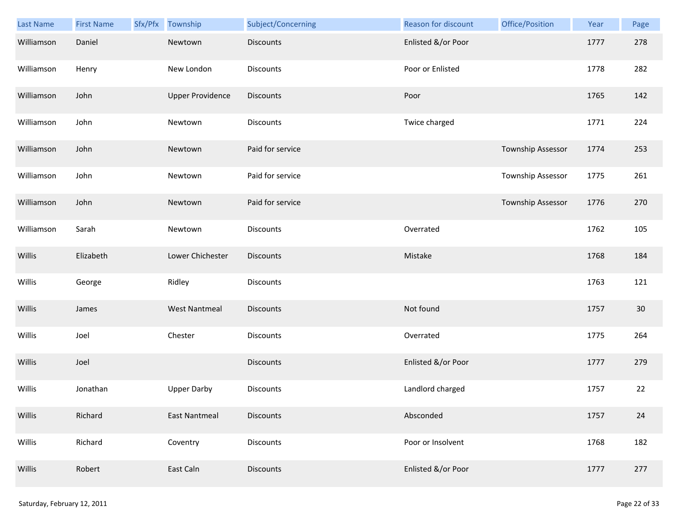| Last Name  | <b>First Name</b> | Sfx/Pfx | Township                | Subject/Concerning | Reason for discount | Office/Position   | Year | Page   |
|------------|-------------------|---------|-------------------------|--------------------|---------------------|-------------------|------|--------|
| Williamson | Daniel            |         | Newtown                 | <b>Discounts</b>   | Enlisted &/or Poor  |                   | 1777 | 278    |
| Williamson | Henry             |         | New London              | Discounts          | Poor or Enlisted    |                   | 1778 | 282    |
| Williamson | John              |         | <b>Upper Providence</b> | <b>Discounts</b>   | Poor                |                   | 1765 | 142    |
| Williamson | John              |         | Newtown                 | <b>Discounts</b>   | Twice charged       |                   | 1771 | 224    |
| Williamson | John              |         | Newtown                 | Paid for service   |                     | Township Assessor | 1774 | 253    |
| Williamson | John              |         | Newtown                 | Paid for service   |                     | Township Assessor | 1775 | 261    |
| Williamson | John              |         | Newtown                 | Paid for service   |                     | Township Assessor | 1776 | 270    |
| Williamson | Sarah             |         | Newtown                 | Discounts          | Overrated           |                   | 1762 | 105    |
| Willis     | Elizabeth         |         | Lower Chichester        | <b>Discounts</b>   | Mistake             |                   | 1768 | 184    |
| Willis     | George            |         | Ridley                  | Discounts          |                     |                   | 1763 | 121    |
| Willis     | James             |         | <b>West Nantmeal</b>    | Discounts          | Not found           |                   | 1757 | $30\,$ |
| Willis     | Joel              |         | Chester                 | Discounts          | Overrated           |                   | 1775 | 264    |
| Willis     | Joel              |         |                         | <b>Discounts</b>   | Enlisted &/or Poor  |                   | 1777 | 279    |
| Willis     | Jonathan          |         | <b>Upper Darby</b>      | Discounts          | Landlord charged    |                   | 1757 | 22     |
| Willis     | Richard           |         | <b>East Nantmeal</b>    | <b>Discounts</b>   | Absconded           |                   | 1757 | 24     |
| Willis     | Richard           |         | Coventry                | Discounts          | Poor or Insolvent   |                   | 1768 | 182    |
| Willis     | Robert            |         | East Caln               | <b>Discounts</b>   | Enlisted &/or Poor  |                   | 1777 | 277    |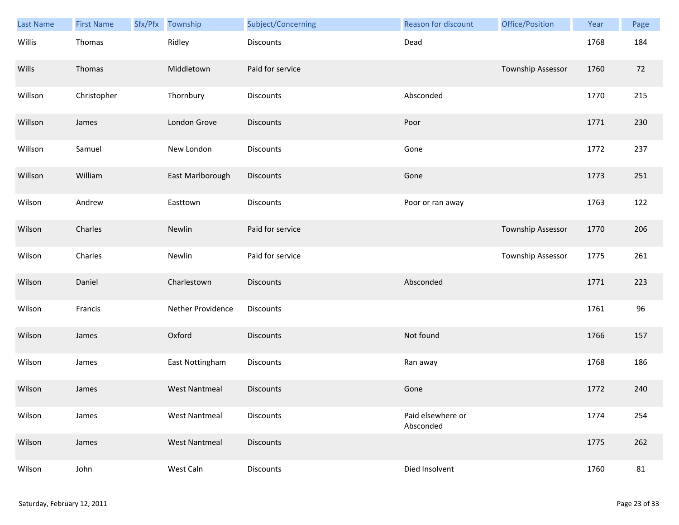| Last Name | <b>First Name</b> | Sfx/Pfx | Township             | Subject/Concerning | Reason for discount            | Office/Position          | Year | Page |
|-----------|-------------------|---------|----------------------|--------------------|--------------------------------|--------------------------|------|------|
| Willis    | Thomas            |         | Ridley               | Discounts          | Dead                           |                          | 1768 | 184  |
| Wills     | Thomas            |         | Middletown           | Paid for service   |                                | <b>Township Assessor</b> | 1760 | 72   |
| Willson   | Christopher       |         | Thornbury            | Discounts          | Absconded                      |                          | 1770 | 215  |
| Willson   | James             |         | London Grove         | Discounts          | Poor                           |                          | 1771 | 230  |
| Willson   | Samuel            |         | New London           | Discounts          | Gone                           |                          | 1772 | 237  |
| Willson   | William           |         | East Marlborough     | Discounts          | Gone                           |                          | 1773 | 251  |
| Wilson    | Andrew            |         | Easttown             | Discounts          | Poor or ran away               |                          | 1763 | 122  |
| Wilson    | Charles           |         | Newlin               | Paid for service   |                                | <b>Township Assessor</b> | 1770 | 206  |
| Wilson    | Charles           |         | Newlin               | Paid for service   |                                | Township Assessor        | 1775 | 261  |
| Wilson    | Daniel            |         | Charlestown          | <b>Discounts</b>   | Absconded                      |                          | 1771 | 223  |
| Wilson    | Francis           |         | Nether Providence    | Discounts          |                                |                          | 1761 | 96   |
| Wilson    | James             |         | Oxford               | Discounts          | Not found                      |                          | 1766 | 157  |
| Wilson    | James             |         | East Nottingham      | Discounts          | Ran away                       |                          | 1768 | 186  |
| Wilson    | James             |         | <b>West Nantmeal</b> | Discounts          | Gone                           |                          | 1772 | 240  |
| Wilson    | James             |         | <b>West Nantmeal</b> | <b>Discounts</b>   | Paid elsewhere or<br>Absconded |                          | 1774 | 254  |
| Wilson    | James             |         | <b>West Nantmeal</b> | Discounts          |                                |                          | 1775 | 262  |
| Wilson    | John              |         | West Caln            | Discounts          | Died Insolvent                 |                          | 1760 | 81   |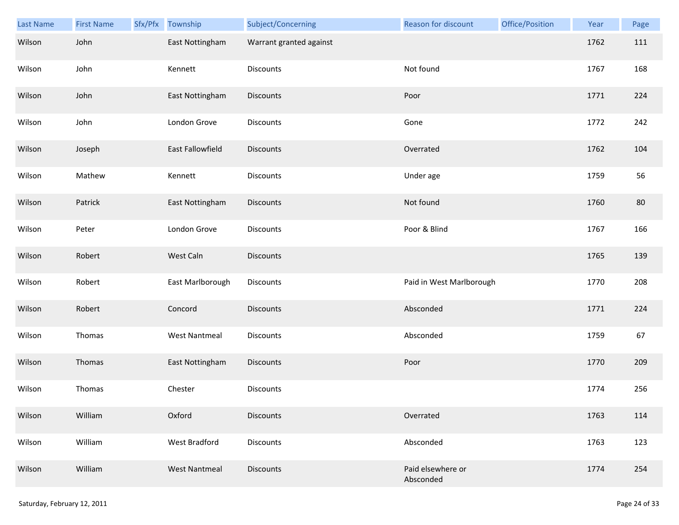| Last Name | <b>First Name</b> | Sfx/Pfx | Township             | Subject/Concerning      | Reason for discount            | Office/Position | Year | Page |
|-----------|-------------------|---------|----------------------|-------------------------|--------------------------------|-----------------|------|------|
| Wilson    | John              |         | East Nottingham      | Warrant granted against |                                |                 | 1762 | 111  |
| Wilson    | John              |         | Kennett              | Discounts               | Not found                      |                 | 1767 | 168  |
| Wilson    | John              |         | East Nottingham      | Discounts               | Poor                           |                 | 1771 | 224  |
| Wilson    | John              |         | London Grove         | <b>Discounts</b>        | Gone                           |                 | 1772 | 242  |
| Wilson    | Joseph            |         | East Fallowfield     | <b>Discounts</b>        | Overrated                      |                 | 1762 | 104  |
| Wilson    | Mathew            |         | Kennett              | Discounts               | Under age                      |                 | 1759 | 56   |
| Wilson    | Patrick           |         | East Nottingham      | Discounts               | Not found                      |                 | 1760 | 80   |
| Wilson    | Peter             |         | London Grove         | Discounts               | Poor & Blind                   |                 | 1767 | 166  |
| Wilson    | Robert            |         | West Caln            | <b>Discounts</b>        |                                |                 | 1765 | 139  |
| Wilson    | Robert            |         | East Marlborough     | Discounts               | Paid in West Marlborough       |                 | 1770 | 208  |
| Wilson    | Robert            |         | Concord              | Discounts               | Absconded                      |                 | 1771 | 224  |
| Wilson    | Thomas            |         | <b>West Nantmeal</b> | Discounts               | Absconded                      |                 | 1759 | 67   |
| Wilson    | Thomas            |         | East Nottingham      | Discounts               | Poor                           |                 | 1770 | 209  |
| Wilson    | Thomas            |         | Chester              | Discounts               |                                |                 | 1774 | 256  |
| Wilson    | William           |         | Oxford               | <b>Discounts</b>        | Overrated                      |                 | 1763 | 114  |
| Wilson    | William           |         | West Bradford        | <b>Discounts</b>        | Absconded                      |                 | 1763 | 123  |
| Wilson    | William           |         | <b>West Nantmeal</b> | <b>Discounts</b>        | Paid elsewhere or<br>Absconded |                 | 1774 | 254  |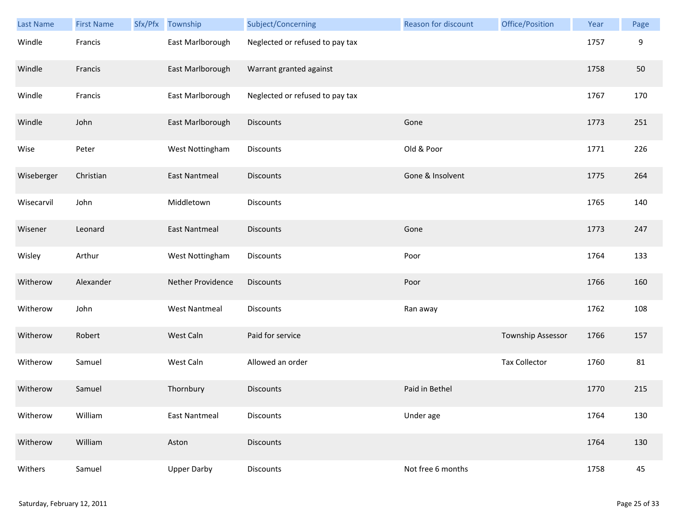| <b>Last Name</b> | <b>First Name</b> | Sfx/Pfx | Township             | Subject/Concerning              | <b>Reason for discount</b> | Office/Position      | Year | Page |
|------------------|-------------------|---------|----------------------|---------------------------------|----------------------------|----------------------|------|------|
| Windle           | Francis           |         | East Marlborough     | Neglected or refused to pay tax |                            |                      | 1757 | 9    |
| Windle           | Francis           |         | East Marlborough     | Warrant granted against         |                            |                      | 1758 | 50   |
| Windle           | Francis           |         | East Marlborough     | Neglected or refused to pay tax |                            |                      | 1767 | 170  |
| Windle           | John              |         | East Marlborough     | <b>Discounts</b>                | Gone                       |                      | 1773 | 251  |
| Wise             | Peter             |         | West Nottingham      | Discounts                       | Old & Poor                 |                      | 1771 | 226  |
| Wiseberger       | Christian         |         | <b>East Nantmeal</b> | <b>Discounts</b>                | Gone & Insolvent           |                      | 1775 | 264  |
| Wisecarvil       | John              |         | Middletown           | Discounts                       |                            |                      | 1765 | 140  |
| Wisener          | Leonard           |         | <b>East Nantmeal</b> | <b>Discounts</b>                | Gone                       |                      | 1773 | 247  |
| Wisley           | Arthur            |         | West Nottingham      | <b>Discounts</b>                | Poor                       |                      | 1764 | 133  |
| Witherow         | Alexander         |         | Nether Providence    | <b>Discounts</b>                | Poor                       |                      | 1766 | 160  |
| Witherow         | John              |         | <b>West Nantmeal</b> | <b>Discounts</b>                | Ran away                   |                      | 1762 | 108  |
| Witherow         | Robert            |         | West Caln            | Paid for service                |                            | Township Assessor    | 1766 | 157  |
| Witherow         | Samuel            |         | West Caln            | Allowed an order                |                            | <b>Tax Collector</b> | 1760 | 81   |
| Witherow         | Samuel            |         | Thornbury            | <b>Discounts</b>                | Paid in Bethel             |                      | 1770 | 215  |
| Witherow         | William           |         | <b>East Nantmeal</b> | Discounts                       | Under age                  |                      | 1764 | 130  |
| Witherow         | William           |         | Aston                | <b>Discounts</b>                |                            |                      | 1764 | 130  |
| Withers          | Samuel            |         | <b>Upper Darby</b>   | Discounts                       | Not free 6 months          |                      | 1758 | 45   |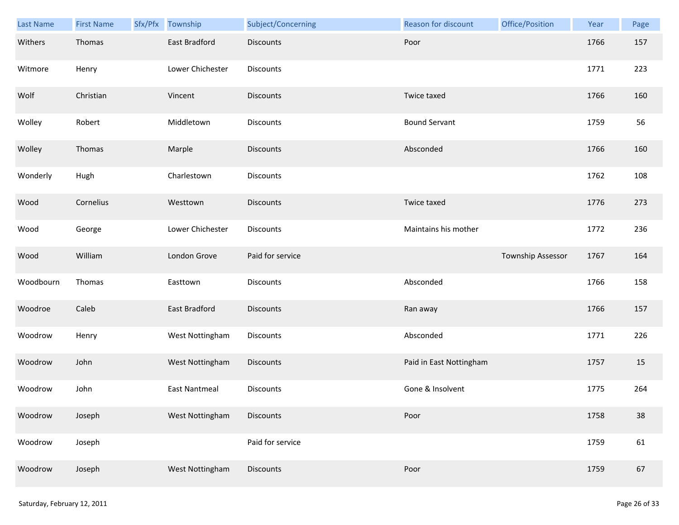| Last Name | <b>First Name</b> | Sfx/Pfx | Township             | Subject/Concerning | Reason for discount     | Office/Position   | Year | Page   |
|-----------|-------------------|---------|----------------------|--------------------|-------------------------|-------------------|------|--------|
| Withers   | Thomas            |         | <b>East Bradford</b> | <b>Discounts</b>   | Poor                    |                   | 1766 | 157    |
| Witmore   | Henry             |         | Lower Chichester     | Discounts          |                         |                   | 1771 | 223    |
| Wolf      | Christian         |         | Vincent              | <b>Discounts</b>   | Twice taxed             |                   | 1766 | 160    |
| Wolley    | Robert            |         | Middletown           | Discounts          | <b>Bound Servant</b>    |                   | 1759 | 56     |
| Wolley    | Thomas            |         | Marple               | <b>Discounts</b>   | Absconded               |                   | 1766 | 160    |
| Wonderly  | Hugh              |         | Charlestown          | Discounts          |                         |                   | 1762 | 108    |
| Wood      | Cornelius         |         | Westtown             | Discounts          | Twice taxed             |                   | 1776 | 273    |
| Wood      | George            |         | Lower Chichester     | Discounts          | Maintains his mother    |                   | 1772 | 236    |
| Wood      | William           |         | London Grove         | Paid for service   |                         | Township Assessor | 1767 | 164    |
| Woodbourn | Thomas            |         | Easttown             | Discounts          | Absconded               |                   | 1766 | 158    |
| Woodroe   | Caleb             |         | East Bradford        | <b>Discounts</b>   | Ran away                |                   | 1766 | 157    |
| Woodrow   | Henry             |         | West Nottingham      | Discounts          | Absconded               |                   | 1771 | 226    |
| Woodrow   | John              |         | West Nottingham      | Discounts          | Paid in East Nottingham |                   | 1757 | 15     |
| Woodrow   | John              |         | <b>East Nantmeal</b> | Discounts          | Gone & Insolvent        |                   | 1775 | 264    |
| Woodrow   | Joseph            |         | West Nottingham      | <b>Discounts</b>   | Poor                    |                   | 1758 | $38\,$ |
| Woodrow   | Joseph            |         |                      | Paid for service   |                         |                   | 1759 | 61     |
| Woodrow   | Joseph            |         | West Nottingham      | Discounts          | Poor                    |                   | 1759 | 67     |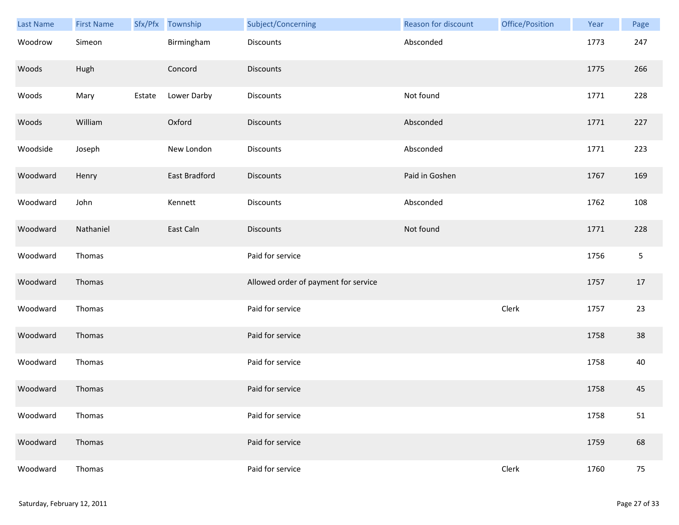| Last Name | <b>First Name</b> |        | Sfx/Pfx Township | Subject/Concerning                   | Reason for discount | Office/Position | Year | Page       |
|-----------|-------------------|--------|------------------|--------------------------------------|---------------------|-----------------|------|------------|
| Woodrow   | Simeon            |        | Birmingham       | <b>Discounts</b>                     | Absconded           |                 | 1773 | 247        |
| Woods     | Hugh              |        | Concord          | <b>Discounts</b>                     |                     |                 | 1775 | 266        |
| Woods     | Mary              | Estate | Lower Darby      | Discounts                            | Not found           |                 | 1771 | 228        |
| Woods     | William           |        | Oxford           | <b>Discounts</b>                     | Absconded           |                 | 1771 | 227        |
| Woodside  | Joseph            |        | New London       | Discounts                            | Absconded           |                 | 1771 | 223        |
| Woodward  | Henry             |        | East Bradford    | <b>Discounts</b>                     | Paid in Goshen      |                 | 1767 | 169        |
| Woodward  | John              |        | Kennett          | Discounts                            | Absconded           |                 | 1762 | 108        |
| Woodward  | Nathaniel         |        | East Caln        | Discounts                            | Not found           |                 | 1771 | 228        |
| Woodward  | Thomas            |        |                  | Paid for service                     |                     |                 | 1756 | $\sqrt{5}$ |
| Woodward  | Thomas            |        |                  | Allowed order of payment for service |                     |                 | 1757 | 17         |
| Woodward  | Thomas            |        |                  | Paid for service                     |                     | Clerk           | 1757 | 23         |
| Woodward  | Thomas            |        |                  | Paid for service                     |                     |                 | 1758 | 38         |
| Woodward  | Thomas            |        |                  | Paid for service                     |                     |                 | 1758 | 40         |
| Woodward  | Thomas            |        |                  | Paid for service                     |                     |                 | 1758 | 45         |
| Woodward  | Thomas            |        |                  | Paid for service                     |                     |                 | 1758 | 51         |
| Woodward  | Thomas            |        |                  | Paid for service                     |                     |                 | 1759 | 68         |
| Woodward  | Thomas            |        |                  | Paid for service                     |                     | Clerk           | 1760 | 75         |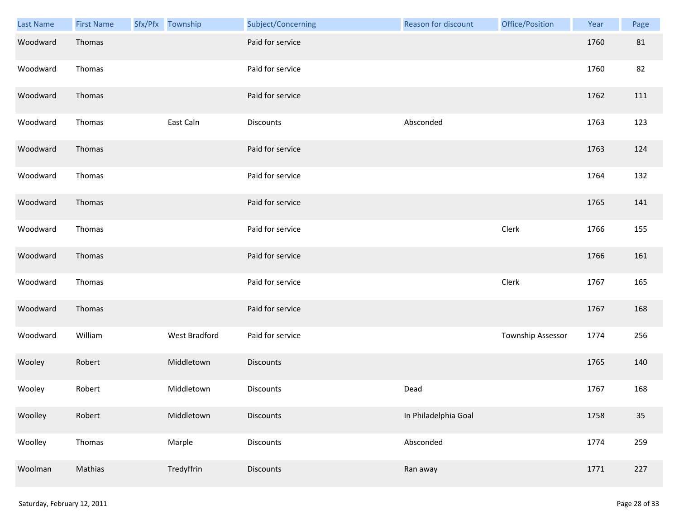| <b>Last Name</b> | <b>First Name</b> | Sfx/Pfx Township     | Subject/Concerning | Reason for discount  | Office/Position   | Year | Page |
|------------------|-------------------|----------------------|--------------------|----------------------|-------------------|------|------|
| Woodward         | Thomas            |                      | Paid for service   |                      |                   | 1760 | 81   |
| Woodward         | Thomas            |                      | Paid for service   |                      |                   | 1760 | 82   |
| Woodward         | Thomas            |                      | Paid for service   |                      |                   | 1762 | 111  |
| Woodward         | Thomas            | East Caln            | Discounts          | Absconded            |                   | 1763 | 123  |
| Woodward         | Thomas            |                      | Paid for service   |                      |                   | 1763 | 124  |
| Woodward         | Thomas            |                      | Paid for service   |                      |                   | 1764 | 132  |
| Woodward         | Thomas            |                      | Paid for service   |                      |                   | 1765 | 141  |
| Woodward         | Thomas            |                      | Paid for service   |                      | Clerk             | 1766 | 155  |
| Woodward         | Thomas            |                      | Paid for service   |                      |                   | 1766 | 161  |
| Woodward         | Thomas            |                      | Paid for service   |                      | Clerk             | 1767 | 165  |
| Woodward         | Thomas            |                      | Paid for service   |                      |                   | 1767 | 168  |
| Woodward         | William           | <b>West Bradford</b> | Paid for service   |                      | Township Assessor | 1774 | 256  |
| Wooley           | Robert            | Middletown           | Discounts          |                      |                   | 1765 | 140  |
| Wooley           | Robert            | Middletown           | Discounts          | Dead                 |                   | 1767 | 168  |
| Woolley          | Robert            | Middletown           | <b>Discounts</b>   | In Philadelphia Goal |                   | 1758 | 35   |
| Woolley          | Thomas            | Marple               | <b>Discounts</b>   | Absconded            |                   | 1774 | 259  |
| Woolman          | Mathias           | Tredyffrin           | Discounts          | Ran away             |                   | 1771 | 227  |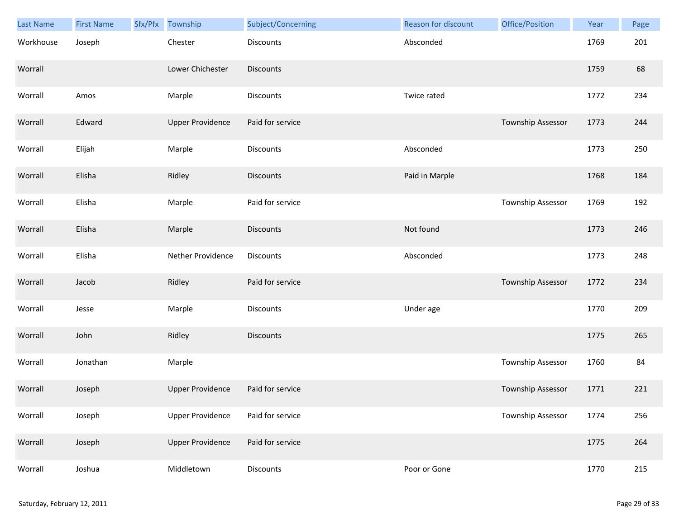| Last Name | <b>First Name</b> | Sfx/Pfx | Township                | Subject/Concerning | <b>Reason for discount</b> | Office/Position          | Year | Page |
|-----------|-------------------|---------|-------------------------|--------------------|----------------------------|--------------------------|------|------|
| Workhouse | Joseph            |         | Chester                 | <b>Discounts</b>   | Absconded                  |                          | 1769 | 201  |
| Worrall   |                   |         | Lower Chichester        | Discounts          |                            |                          | 1759 | 68   |
| Worrall   | Amos              |         | Marple                  | Discounts          | Twice rated                |                          | 1772 | 234  |
| Worrall   | Edward            |         | <b>Upper Providence</b> | Paid for service   |                            | <b>Township Assessor</b> | 1773 | 244  |
| Worrall   | Elijah            |         | Marple                  | Discounts          | Absconded                  |                          | 1773 | 250  |
| Worrall   | Elisha            |         | Ridley                  | <b>Discounts</b>   | Paid in Marple             |                          | 1768 | 184  |
| Worrall   | Elisha            |         | Marple                  | Paid for service   |                            | Township Assessor        | 1769 | 192  |
| Worrall   | Elisha            |         | Marple                  | <b>Discounts</b>   | Not found                  |                          | 1773 | 246  |
| Worrall   | Elisha            |         | Nether Providence       | Discounts          | Absconded                  |                          | 1773 | 248  |
| Worrall   | Jacob             |         | Ridley                  | Paid for service   |                            | Township Assessor        | 1772 | 234  |
| Worrall   | Jesse             |         | Marple                  | Discounts          | Under age                  |                          | 1770 | 209  |
| Worrall   | John              |         | Ridley                  | Discounts          |                            |                          | 1775 | 265  |
| Worrall   | Jonathan          |         | Marple                  |                    |                            | Township Assessor        | 1760 | 84   |
| Worrall   | Joseph            |         | <b>Upper Providence</b> | Paid for service   |                            | Township Assessor        | 1771 | 221  |
| Worrall   | Joseph            |         | <b>Upper Providence</b> | Paid for service   |                            | Township Assessor        | 1774 | 256  |
| Worrall   | Joseph            |         | <b>Upper Providence</b> | Paid for service   |                            |                          | 1775 | 264  |
| Worrall   | Joshua            |         | Middletown              | Discounts          | Poor or Gone               |                          | 1770 | 215  |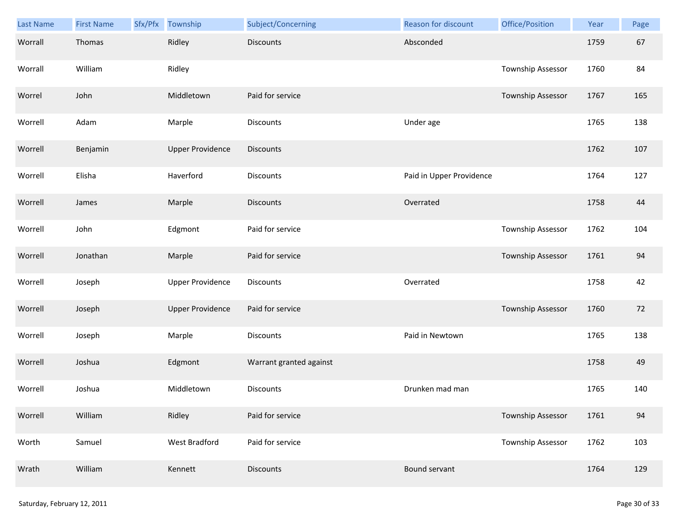| Last Name | <b>First Name</b> | Sfx/Pfx | Township                | Subject/Concerning      | Reason for discount      | Office/Position          | Year | Page |
|-----------|-------------------|---------|-------------------------|-------------------------|--------------------------|--------------------------|------|------|
| Worrall   | Thomas            |         | Ridley                  | <b>Discounts</b>        | Absconded                |                          | 1759 | 67   |
| Worrall   | William           |         | Ridley                  |                         |                          | Township Assessor        | 1760 | 84   |
| Worrel    | John              |         | Middletown              | Paid for service        |                          | Township Assessor        | 1767 | 165  |
| Worrell   | Adam              |         | Marple                  | <b>Discounts</b>        | Under age                |                          | 1765 | 138  |
| Worrell   | Benjamin          |         | <b>Upper Providence</b> | <b>Discounts</b>        |                          |                          | 1762 | 107  |
| Worrell   | Elisha            |         | Haverford               | <b>Discounts</b>        | Paid in Upper Providence |                          | 1764 | 127  |
| Worrell   | James             |         | Marple                  | <b>Discounts</b>        | Overrated                |                          | 1758 | 44   |
| Worrell   | John              |         | Edgmont                 | Paid for service        |                          | Township Assessor        | 1762 | 104  |
| Worrell   | Jonathan          |         | Marple                  | Paid for service        |                          | Township Assessor        | 1761 | 94   |
| Worrell   | Joseph            |         | <b>Upper Providence</b> | <b>Discounts</b>        | Overrated                |                          | 1758 | 42   |
| Worrell   | Joseph            |         | <b>Upper Providence</b> | Paid for service        |                          | <b>Township Assessor</b> | 1760 | 72   |
| Worrell   | Joseph            |         | Marple                  | Discounts               | Paid in Newtown          |                          | 1765 | 138  |
| Worrell   | Joshua            |         | Edgmont                 | Warrant granted against |                          |                          | 1758 | 49   |
| Worrell   | Joshua            |         | Middletown              | Discounts               | Drunken mad man          |                          | 1765 | 140  |
| Worrell   | William           |         | Ridley                  | Paid for service        |                          | Township Assessor        | 1761 | 94   |
| Worth     | Samuel            |         | West Bradford           | Paid for service        |                          | <b>Township Assessor</b> | 1762 | 103  |
| Wrath     | William           |         | Kennett                 | Discounts               | Bound servant            |                          | 1764 | 129  |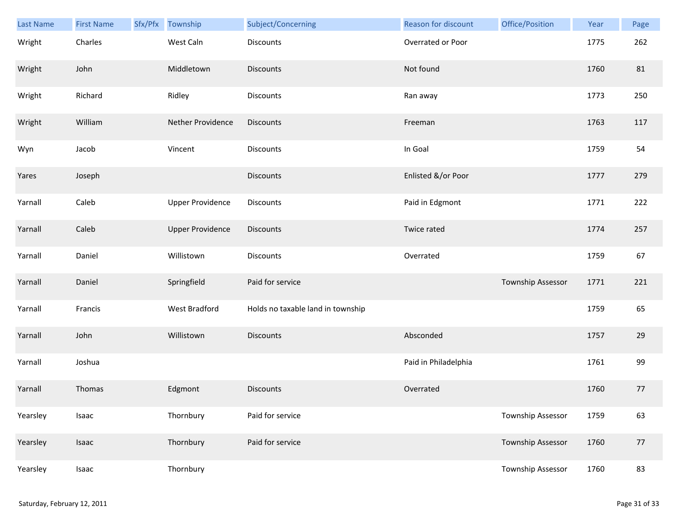| Last Name | <b>First Name</b> | Sfx/Pfx | Township                | Subject/Concerning                | Reason for discount  | Office/Position          | Year | Page |
|-----------|-------------------|---------|-------------------------|-----------------------------------|----------------------|--------------------------|------|------|
| Wright    | Charles           |         | West Caln               | Discounts                         | Overrated or Poor    |                          | 1775 | 262  |
| Wright    | John              |         | Middletown              | <b>Discounts</b>                  | Not found            |                          | 1760 | 81   |
| Wright    | Richard           |         | Ridley                  | Discounts                         | Ran away             |                          | 1773 | 250  |
| Wright    | William           |         | Nether Providence       | <b>Discounts</b>                  | Freeman              |                          | 1763 | 117  |
| Wyn       | Jacob             |         | Vincent                 | Discounts                         | In Goal              |                          | 1759 | 54   |
| Yares     | Joseph            |         |                         | <b>Discounts</b>                  | Enlisted &/or Poor   |                          | 1777 | 279  |
| Yarnall   | Caleb             |         | <b>Upper Providence</b> | Discounts                         | Paid in Edgmont      |                          | 1771 | 222  |
| Yarnall   | Caleb             |         | <b>Upper Providence</b> | Discounts                         | Twice rated          |                          | 1774 | 257  |
| Yarnall   | Daniel            |         | Willistown              | <b>Discounts</b>                  | Overrated            |                          | 1759 | 67   |
| Yarnall   | Daniel            |         | Springfield             | Paid for service                  |                      | Township Assessor        | 1771 | 221  |
| Yarnall   | Francis           |         | West Bradford           | Holds no taxable land in township |                      |                          | 1759 | 65   |
| Yarnall   | John              |         | Willistown              | <b>Discounts</b>                  | Absconded            |                          | 1757 | 29   |
| Yarnall   | Joshua            |         |                         |                                   | Paid in Philadelphia |                          | 1761 | 99   |
| Yarnall   | Thomas            |         | Edgmont                 | <b>Discounts</b>                  | Overrated            |                          | 1760 | 77   |
| Yearsley  | Isaac             |         | Thornbury               | Paid for service                  |                      | Township Assessor        | 1759 | 63   |
| Yearsley  | Isaac             |         | Thornbury               | Paid for service                  |                      | <b>Township Assessor</b> | 1760 | 77   |
| Yearsley  | Isaac             |         | Thornbury               |                                   |                      | Township Assessor        | 1760 | 83   |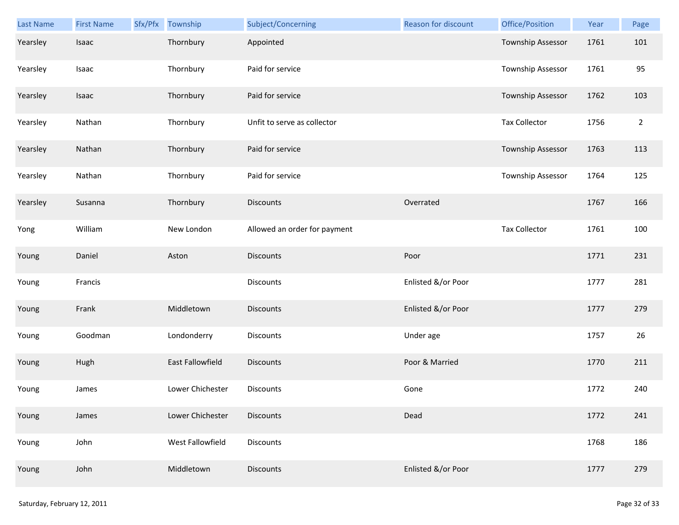| Last Name | <b>First Name</b> | Sfx/Pfx Township | Subject/Concerning           | Reason for discount | Office/Position          | Year | Page           |
|-----------|-------------------|------------------|------------------------------|---------------------|--------------------------|------|----------------|
| Yearsley  | Isaac             | Thornbury        | Appointed                    |                     | Township Assessor        | 1761 | 101            |
| Yearsley  | Isaac             | Thornbury        | Paid for service             |                     | Township Assessor        | 1761 | 95             |
| Yearsley  | Isaac             | Thornbury        | Paid for service             |                     | <b>Township Assessor</b> | 1762 | 103            |
| Yearsley  | Nathan            | Thornbury        | Unfit to serve as collector  |                     | <b>Tax Collector</b>     | 1756 | $\overline{2}$ |
| Yearsley  | Nathan            | Thornbury        | Paid for service             |                     | Township Assessor        | 1763 | 113            |
| Yearsley  | Nathan            | Thornbury        | Paid for service             |                     | Township Assessor        | 1764 | 125            |
| Yearsley  | Susanna           | Thornbury        | <b>Discounts</b>             | Overrated           |                          | 1767 | 166            |
| Yong      | William           | New London       | Allowed an order for payment |                     | <b>Tax Collector</b>     | 1761 | 100            |
| Young     | Daniel            | Aston            | <b>Discounts</b>             | Poor                |                          | 1771 | 231            |
| Young     | Francis           |                  | <b>Discounts</b>             | Enlisted &/or Poor  |                          | 1777 | 281            |
| Young     | Frank             | Middletown       | <b>Discounts</b>             | Enlisted &/or Poor  |                          | 1777 | 279            |
| Young     | Goodman           | Londonderry      | <b>Discounts</b>             | Under age           |                          | 1757 | 26             |
| Young     | Hugh              | East Fallowfield | <b>Discounts</b>             | Poor & Married      |                          | 1770 | 211            |
| Young     | James             | Lower Chichester | <b>Discounts</b>             | Gone                |                          | 1772 | 240            |
| Young     | James             | Lower Chichester | <b>Discounts</b>             | Dead                |                          | 1772 | 241            |
| Young     | John              | West Fallowfield | Discounts                    |                     |                          | 1768 | 186            |
| Young     | John              | Middletown       | <b>Discounts</b>             | Enlisted &/or Poor  |                          | 1777 | 279            |